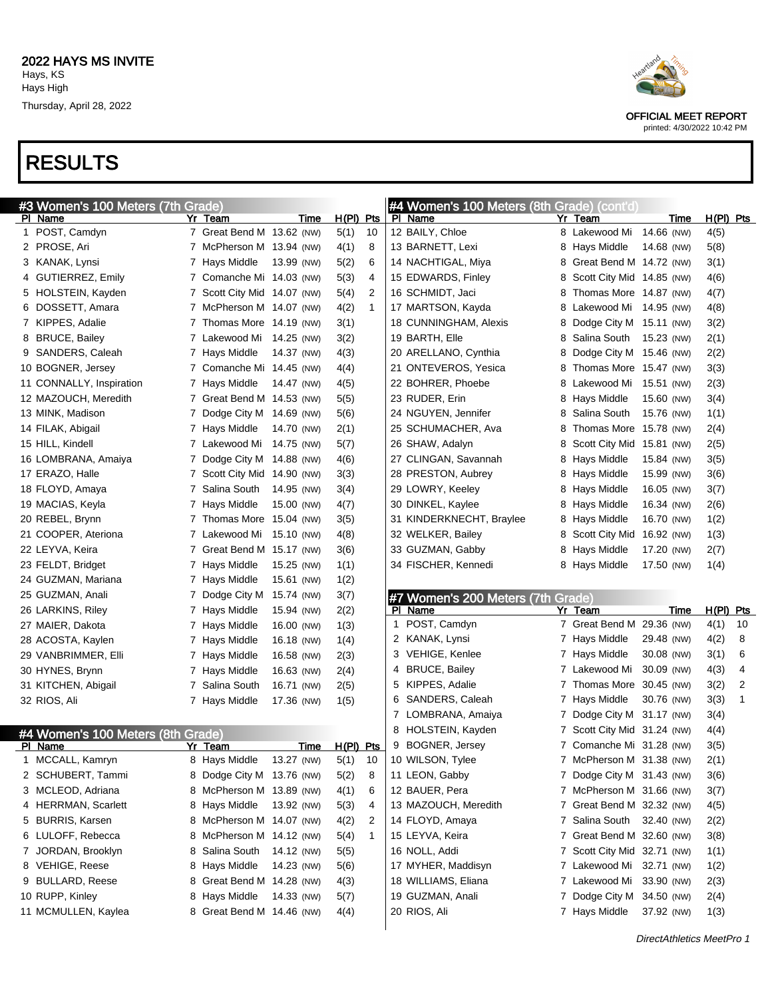

OFFICIAL MEET REPORT printed: 4/30/2022 10:42 PM

| #3 Women's 100 Meters (7th Grade) |                             |            |           |              |    | #4 Women's 100 Meters (8th Grade) (cont'd) |   |                             |                           |             |    |
|-----------------------------------|-----------------------------|------------|-----------|--------------|----|--------------------------------------------|---|-----------------------------|---------------------------|-------------|----|
| PI Name                           | Yr Team                     | Time       | H(PI) Pts |              |    | PI Name                                    |   | Yr Team                     | Time                      | $H(PI)$ Pts |    |
| 1 POST, Camdyn                    | 7 Great Bend M 13.62 (NW)   |            | 5(1)      | 10           |    | 12 BAILY, Chloe                            |   | 8 Lakewood Mi 14.66 (NW)    |                           | 4(5)        |    |
| 2 PROSE, Ari                      | 7 McPherson M 13.94 (NW)    |            | 4(1)      | 8            |    | 13 BARNETT, Lexi                           |   | 8 Hays Middle               | 14.68 (NW)                | 5(8)        |    |
| 3 KANAK, Lynsi                    | 7 Hays Middle               | 13.99 (NW) | 5(2)      | 6            |    | 14 NACHTIGAL, Miya                         |   | 8 Great Bend M 14.72 (NW)   |                           | 3(1)        |    |
| 4 GUTIERREZ, Emily                | 7 Comanche Mi 14.03 (NW)    |            | 5(3)      | 4            |    | 15 EDWARDS, Finley                         |   | 8 Scott City Mid 14.85 (NW) |                           | 4(6)        |    |
| 5 HOLSTEIN, Kayden                | 7 Scott City Mid 14.07 (NW) |            | 5(4)      | 2            |    | 16 SCHMIDT, Jaci                           | 8 | Thomas More 14.87 (NW)      |                           | 4(7)        |    |
| 6 DOSSETT, Amara                  | 7 McPherson M 14.07 (NW)    |            | 4(2)      | $\mathbf 1$  |    | 17 MARTSON, Kayda                          |   | 8 Lakewood Mi 14.95 (NW)    |                           | 4(8)        |    |
| 7 KIPPES, Adalie                  | 7 Thomas More 14.19 (NW)    |            | 3(1)      |              |    | 18 CUNNINGHAM, Alexis                      |   | 8 Dodge City M 15.11 (NW)   |                           | 3(2)        |    |
| 8 BRUCE, Bailey                   | 7 Lakewood Mi 14.25 (NW)    |            | 3(2)      |              |    | 19 BARTH, Elle                             |   | 8 Salina South              | 15.23 (NW)                | 2(1)        |    |
| 9 SANDERS, Caleah                 | 7 Hays Middle               | 14.37 (NW) | 4(3)      |              |    | 20 ARELLANO, Cynthia                       | 8 | Dodge City M 15.46 (NW)     |                           | 2(2)        |    |
| 10 BOGNER, Jersey                 | 7 Comanche Mi 14.45 (NW)    |            | 4(4)      |              |    | 21 ONTEVEROS, Yesica                       |   | 8 Thomas More 15.47 (NW)    |                           | 3(3)        |    |
| 11 CONNALLY, Inspiration          | 7 Hays Middle               | 14.47 (NW) | 4(5)      |              |    | 22 BOHRER, Phoebe                          |   | 8 Lakewood Mi 15.51 (NW)    |                           | 2(3)        |    |
| 12 MAZOUCH, Meredith              | 7 Great Bend M 14.53 (NW)   |            | 5(5)      |              |    | 23 RUDER, Erin                             |   | 8 Hays Middle               | 15.60 (NW)                | 3(4)        |    |
| 13 MINK, Madison                  | 7 Dodge City M 14.69 (NW)   |            | 5(6)      |              |    | 24 NGUYEN, Jennifer                        |   | 8 Salina South              | 15.76 (NW)                | 1(1)        |    |
| 14 FILAK, Abigail                 | 7 Hays Middle               | 14.70 (NW) | 2(1)      |              |    | 25 SCHUMACHER, Ava                         | 8 | Thomas More 15.78 (NW)      |                           | 2(4)        |    |
| 15 HILL, Kindell                  | 7 Lakewood Mi 14.75 (NW)    |            | 5(7)      |              |    | 26 SHAW, Adalyn                            |   | 8 Scott City Mid 15.81 (NW) |                           | 2(5)        |    |
| 16 LOMBRANA, Amaiya               | 7 Dodge City M 14.88 (NW)   |            | 4(6)      |              |    | 27 CLINGAN, Savannah                       |   | 8 Hays Middle               | 15.84 (NW)                | 3(5)        |    |
| 17 ERAZO, Halle                   | 7 Scott City Mid 14.90 (NW) |            | 3(3)      |              |    | 28 PRESTON, Aubrey                         |   | 8 Hays Middle               | 15.99 (NW)                | 3(6)        |    |
| 18 FLOYD, Amaya                   | 7 Salina South              | 14.95 (NW) | 3(4)      |              |    | 29 LOWRY, Keeley                           |   | 8 Hays Middle               | 16.05 (NW)                | 3(7)        |    |
| 19 MACIAS, Keyla                  | 7 Hays Middle               | 15.00 (NW) | 4(7)      |              |    | 30 DINKEL, Kaylee                          |   | 8 Hays Middle               | 16.34 (NW)                | 2(6)        |    |
| 20 REBEL, Brynn                   | 7 Thomas More 15.04 (NW)    |            | 3(5)      |              |    | 31 KINDERKNECHT, Braylee                   |   | 8 Hays Middle               | 16.70 (NW)                | 1(2)        |    |
| 21 COOPER, Ateriona               | 7 Lakewood Mi               | 15.10 (NW) | 4(8)      |              |    | 32 WELKER, Bailey                          |   | 8 Scott City Mid            | 16.92 (NW)                | 1(3)        |    |
| 22 LEYVA, Keira                   | 7 Great Bend M 15.17 (NW)   |            | 3(6)      |              |    | 33 GUZMAN, Gabby                           |   | 8 Hays Middle               | 17.20 (NW)                | 2(7)        |    |
| 23 FELDT, Bridget                 | 7 Hays Middle               | 15.25 (NW) | 1(1)      |              |    | 34 FISCHER, Kennedi                        |   | 8 Hays Middle               | 17.50 (NW)                | 1(4)        |    |
| 24 GUZMAN, Mariana                | 7 Hays Middle               | 15.61 (NW) | 1(2)      |              |    |                                            |   |                             |                           |             |    |
| 25 GUZMAN, Anali                  | 7 Dodge City M              | 15.74 (NW) | 3(7)      |              |    | #7 Women's 200 Meters (7th Grade)          |   |                             |                           |             |    |
| 26 LARKINS, Riley                 | 7 Hays Middle               | 15.94 (NW) | 2(2)      |              |    | PI Name                                    |   | Yr Team                     | Time                      | $H(PI)$ Pts |    |
| 27 MAIER, Dakota                  | 7 Hays Middle               | 16.00 (NW) | 1(3)      |              | 1. | POST, Camdyn                               |   | 7 Great Bend M 29.36 (NW)   |                           | 4(1)        | 10 |
| 28 ACOSTA, Kaylen                 | 7 Hays Middle               | 16.18 (NW) | 1(4)      |              |    | 2 KANAK, Lynsi                             |   | 7 Hays Middle               | 29.48 (NW)                | 4(2)        | 8  |
| 29 VANBRIMMER, Elli               | 7 Hays Middle               | 16.58 (NW) | 2(3)      |              |    | 3 VEHIGE, Kenlee                           |   | 7 Hays Middle               | 30.08 (NW)                | 3(1)        | 6  |
| 30 HYNES, Brynn                   | 7 Hays Middle               | 16.63 (NW) | 2(4)      |              |    | 4 BRUCE, Bailey                            |   | 7 Lakewood Mi               | 30.09 (NW)                | 4(3)        | 4  |
| 31 KITCHEN, Abigail               | 7 Salina South              | 16.71 (NW) | 2(5)      |              |    | 5 KIPPES, Adalie                           |   | 7 Thomas More 30.45 (NW)    |                           | 3(2)        | 2  |
| 32 RIOS, Ali                      | 7 Hays Middle               | 17.36 (NW) | 1(5)      |              |    | 6 SANDERS, Caleah                          |   | 7 Hays Middle               | 30.76 (NW)                | 3(3)        | 1  |
|                                   |                             |            |           |              | 7  | LOMBRANA, Amaiya                           |   | 7 Dodge City M 31.17 (NW)   |                           | 3(4)        |    |
| #4 Women's 100 Meters (8th Grade) |                             |            |           |              | 8  | HOLSTEIN, Kayden                           |   | 7 Scott City Mid 31.24 (NW) |                           | 4(4)        |    |
| PI Name                           | Yr Team                     | Time       | H(PI) Pts |              |    | 9 BOGNER, Jersey                           |   | 7 Comanche Mi 31.28 (NW)    |                           | 3(5)        |    |
| 1 MCCALL, Kamryn                  | 8 Hays Middle               | 13.27 (NW) | 5(1)      | 10           |    | 10 WILSON, Tylee                           |   | 7 McPherson M 31.38 (NW)    |                           | 2(1)        |    |
| 2 SCHUBERT, Tammi                 | 8 Dodge City M 13.76 (NW)   |            | 5(2)      | 8            |    | 11 LEON, Gabby                             |   | 7 Dodge City M 31.43 (NW)   |                           | 3(6)        |    |
| 3 MCLEOD, Adriana                 | 8 McPherson M 13.89 (NW)    |            | 4(1)      | 6            |    | 12 BAUER, Pera                             |   | 7 McPherson M 31.66 (NW)    |                           | 3(7)        |    |
| 4 HERRMAN, Scarlett               | 8 Hays Middle               | 13.92 (NW) | 5(3)      | 4            |    | 13 MAZOUCH, Meredith                       |   | 7 Great Bend M 32.32 (NW)   |                           | 4(5)        |    |
| 5 BURRIS, Karsen                  | 8 McPherson M 14.07 (NW)    |            | 4(2)      | 2            |    | 14 FLOYD, Amaya                            |   | 7 Salina South 32.40 (NW)   |                           | 2(2)        |    |
| 6 LULOFF, Rebecca                 | 8 McPherson M 14.12 (NW)    |            | 5(4)      | $\mathbf{1}$ |    | 15 LEYVA, Keira                            |   | 7 Great Bend M 32.60 (NW)   |                           | 3(8)        |    |
| 7 JORDAN, Brooklyn                | 8 Salina South              | 14.12 (NW) | 5(5)      |              |    | 16 NOLL, Addi                              |   | 7 Scott City Mid 32.71 (NW) |                           | 1(1)        |    |
| 8 VEHIGE, Reese                   | 8 Hays Middle               | 14.23 (NW) | 5(6)      |              |    | 17 MYHER, Maddisyn                         |   | 7 Lakewood Mi 32.71 (NW)    |                           | 1(2)        |    |
| 9 BULLARD, Reese                  | 8 Great Bend M 14.28 (NW)   |            | 4(3)      |              |    | 18 WILLIAMS, Eliana                        |   | 7 Lakewood Mi 33.90 (NW)    |                           | 2(3)        |    |
| 10 RUPP, Kinley                   | 8 Hays Middle               | 14.33 (NW) | 5(7)      |              |    | 19 GUZMAN, Anali                           |   | 7 Dodge City M 34.50 (NW)   |                           | 2(4)        |    |
| 11 MCMULLEN, Kaylea               | 8 Great Bend M 14.46 (NW)   |            | 4(4)      |              |    | 20 RIOS, Ali                               |   | 7 Hays Middle               | 37.92 (NW)                | 1(3)        |    |
|                                   |                             |            |           |              |    |                                            |   |                             | DirectAthletics MeetPro 1 |             |    |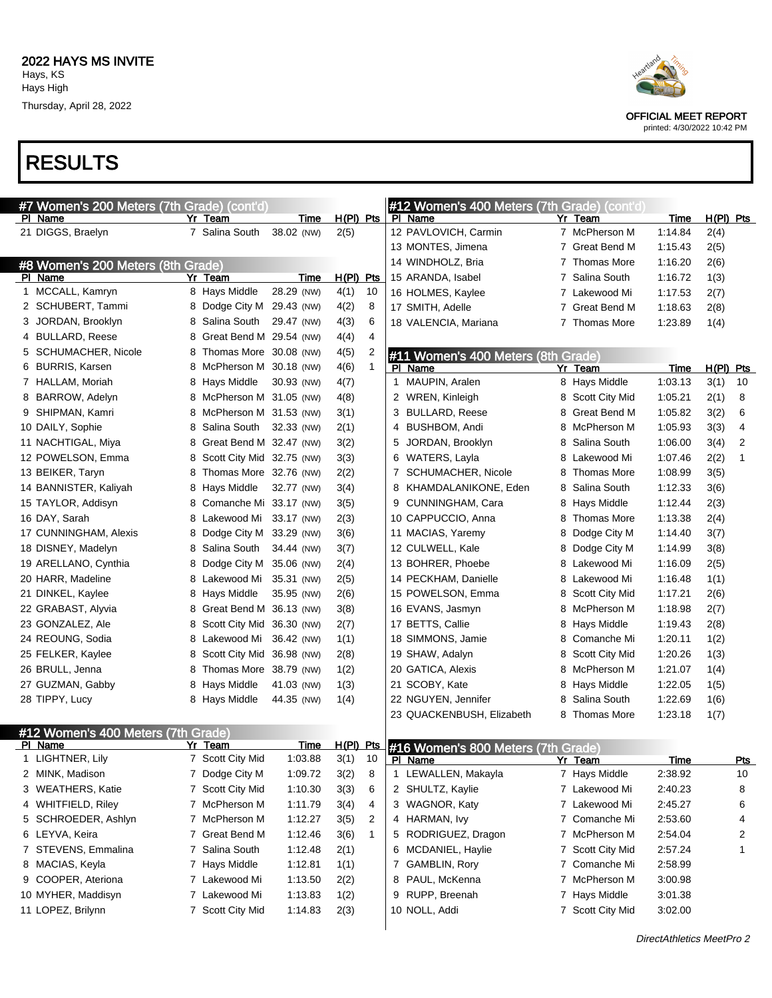

printed: 4/30/2022 10:42 PM

|   | #7 Women's 200 Meters (7th Grade) (cont'd) |                             |            |             |                |              | #12 Women's 400 Meters (7th Grade) (cont'd |   |                            |                    |             |     |
|---|--------------------------------------------|-----------------------------|------------|-------------|----------------|--------------|--------------------------------------------|---|----------------------------|--------------------|-------------|-----|
|   | PI Name                                    | Yr Team                     | Time       | $H(PI)$ Pts |                |              | PI Name                                    |   | Yr Team                    | <b>Time</b>        | $H(PI)$ Pts |     |
|   | 21 DIGGS, Braelyn                          | 7 Salina South              | 38.02 (NW) | 2(5)        |                |              | 12 PAVLOVICH, Carmin                       |   | 7 McPherson M              | 1:14.84            | 2(4)        |     |
|   |                                            |                             |            |             |                |              | 13 MONTES, Jimena                          |   | 7 Great Bend M             | 1:15.43            | 2(5)        |     |
|   | #8 Women's 200 Meters (8th Grade)          |                             |            |             |                |              | 14 WINDHOLZ, Bria                          |   | 7 Thomas More              | 1:16.20            | 2(6)        |     |
|   | PI Name                                    | Yr Team                     | Time       | $H(PI)$ Pts |                |              | 15 ARANDA, Isabel                          |   | 7 Salina South             | 1:16.72            | 1(3)        |     |
|   | 1 MCCALL, Kamryn                           | 8 Hays Middle               | 28.29 (NW) | 4(1)        | 10             |              | 16 HOLMES, Kaylee                          |   | 7 Lakewood Mi              | 1:17.53            | 2(7)        |     |
|   | 2 SCHUBERT, Tammi                          | 8 Dodge City M 29.43 (NW)   |            | 4(2)        | 8              |              | 17 SMITH, Adelle                           |   | 7 Great Bend M             | 1:18.63            | 2(8)        |     |
|   | 3 JORDAN, Brooklyn                         | 8 Salina South              | 29.47 (NW) | 4(3)        | 6              |              | 18 VALENCIA, Mariana                       |   | 7 Thomas More              | 1:23.89            | 1(4)        |     |
|   | 4 BULLARD, Reese                           | 8 Great Bend M 29.54 (NW)   |            | 4(4)        | 4              |              |                                            |   |                            |                    |             |     |
|   | 5 SCHUMACHER, Nicole                       | 8 Thomas More 30.08 (NW)    |            | 4(5)        | 2              |              | #11 Women's 400 Meters (8th Grade)         |   |                            |                    |             |     |
|   | 6 BURRIS, Karsen                           | 8 McPherson M 30.18 (NW)    |            | 4(6)        | $\mathbf{1}$   |              | PI Name                                    |   | Yr Team                    | Time               | $H(PI)$ Pts |     |
|   | 7 HALLAM, Moriah                           | 8 Hays Middle               | 30.93 (NW) | 4(7)        |                | $\mathbf{1}$ | MAUPIN, Aralen                             |   | 8 Hays Middle              | 1:03.13            | 3(1)        | 10  |
|   | 8 BARROW, Adelyn                           | 8 McPherson M 31.05 (NW)    |            | 4(8)        |                |              | 2 WREN, Kinleigh                           |   | <b>Scott City Mid</b><br>8 | 1:05.21            | 2(1)        | 8   |
|   | 9 SHIPMAN, Kamri                           | 8 McPherson M 31.53 (NW)    |            | 3(1)        |                |              | 3 BULLARD, Reese                           |   | Great Bend M<br>8          | 1:05.82            | 3(2)        | 6   |
|   | 10 DAILY, Sophie                           | 8 Salina South              | 32.33 (NW) | 2(1)        |                |              | 4 BUSHBOM, Andi                            |   | McPherson M<br>8           | 1:05.93            | 3(3)        | 4   |
|   | 11 NACHTIGAL, Miya                         | 8 Great Bend M 32.47 (NW)   |            | 3(2)        |                | 5            | JORDAN, Brooklyn                           |   | Salina South<br>8          | 1:06.00            | 3(4)        | 2   |
|   | 12 POWELSON, Emma                          | 8 Scott City Mid 32.75 (NW) |            | 3(3)        |                |              | 6 WATERS, Layla                            |   | Lakewood Mi<br>8           | 1:07.46            | 2(2)        | 1   |
|   | 13 BEIKER, Taryn                           | 8 Thomas More 32.76 (NW)    |            | 2(2)        |                |              | 7 SCHUMACHER, Nicole                       |   | <b>Thomas More</b><br>8    | 1:08.99            | 3(5)        |     |
|   | 14 BANNISTER, Kaliyah                      | 8 Hays Middle               | 32.77 (NW) | 3(4)        |                |              | 8 KHAMDALANIKONE, Eden                     |   | Salina South<br>8          | 1:12.33            | 3(6)        |     |
|   | 15 TAYLOR, Addisyn                         | 8 Comanche Mi 33.17 (NW)    |            | 3(5)        |                |              | 9 CUNNINGHAM, Cara                         |   | Hays Middle<br>8           | 1:12.44            | 2(3)        |     |
|   | 16 DAY, Sarah                              | 8 Lakewood Mi 33.17 (NW)    |            | 2(3)        |                |              | 10 CAPPUCCIO, Anna                         |   | Thomas More<br>8           | 1:13.38            | 2(4)        |     |
|   | 17 CUNNINGHAM, Alexis                      | 8 Dodge City M 33.29 (NW)   |            | 3(6)        |                |              | 11 MACIAS, Yaremy                          | 8 | Dodge City M               | 1:14.40            | 3(7)        |     |
|   | 18 DISNEY, Madelyn                         | 8 Salina South              | 34.44 (NW) | 3(7)        |                |              | 12 CULWELL, Kale                           |   | Dodge City M<br>8          | 1:14.99            | 3(8)        |     |
|   | 19 ARELLANO, Cynthia                       | 8 Dodge City M              | 35.06 (NW) | 2(4)        |                |              | 13 BOHRER, Phoebe                          |   | Lakewood Mi<br>8           | 1:16.09            | 2(5)        |     |
|   | 20 HARR, Madeline                          | 8 Lakewood Mi               | 35.31 (NW) | 2(5)        |                |              | 14 PECKHAM, Danielle                       |   | Lakewood Mi<br>8           | 1:16.48            | 1(1)        |     |
|   | 21 DINKEL, Kaylee                          | 8 Hays Middle               | 35.95 (NW) | 2(6)        |                |              | 15 POWELSON, Emma                          |   | Scott City Mid<br>8        | 1:17.21            | 2(6)        |     |
|   | 22 GRABAST, Alyvia                         | 8 Great Bend M 36.13 (NW)   |            | 3(8)        |                |              | 16 EVANS, Jasmyn                           |   | McPherson M<br>8           | 1:18.98            | 2(7)        |     |
|   | 23 GONZALEZ, Ale                           | 8 Scott City Mid 36.30 (NW) |            | 2(7)        |                |              | 17 BETTS, Callie                           |   | Hays Middle<br>8           | 1:19.43            | 2(8)        |     |
|   | 24 REOUNG, Sodia                           | 8 Lakewood Mi               | 36.42 (NW) | 1(1)        |                |              | 18 SIMMONS, Jamie                          |   | Comanche Mi<br>8           | 1:20.11            | 1(2)        |     |
|   | 25 FELKER, Kaylee                          | 8 Scott City Mid 36.98 (NW) |            | 2(8)        |                |              | 19 SHAW, Adalyn                            |   | Scott City Mid<br>8        | 1:20.26            | 1(3)        |     |
|   | 26 BRULL, Jenna                            | 8 Thomas More 38.79 (NW)    |            | 1(2)        |                |              | 20 GATICA, Alexis                          |   | McPherson M<br>8           | 1:21.07            | 1(4)        |     |
|   | 27 GUZMAN, Gabby                           | 8 Hays Middle               | 41.03 (NW) | 1(3)        |                |              | 21 SCOBY, Kate                             |   | Hays Middle<br>8           | 1:22.05            | 1(5)        |     |
|   | 28 TIPPY, Lucy                             | 8 Hays Middle               | 44.35 (NW) | 1(4)        |                |              | 22 NGUYEN, Jennifer                        | 8 | Salina South               | 1:22.69            | 1(6)        |     |
|   |                                            |                             |            |             |                |              | 23 QUACKENBUSH, Elizabeth                  |   | 8 Thomas More              | 1:23.18            | 1(7)        |     |
|   | #12 Women's 400 Meters (7th Grade)         |                             |            |             |                |              |                                            |   |                            |                    |             |     |
|   | PI Name                                    | Yr Team                     | Time       | $H(PI)$ Pts |                |              | #16 Women's 800 Meters (7th Grade)         |   |                            |                    |             |     |
|   | 1 LIGHTNER, Lily                           | 7 Scott City Mid            | 1:03.88    | 3(1)        | 10             |              | PI Name                                    |   | Yr Team                    | Time               |             | Pts |
|   | 2 MINK, Madison                            | 7 Dodge City M              | 1:09.72    | 3(2)        | 8              |              | 1 LEWALLEN, Makayla                        |   | 7 Hays Middle              | 2:38.92            |             | 10  |
|   | 3 WEATHERS, Katie                          | 7 Scott City Mid            | 1:10.30    | 3(3)        | 6              |              | 2 SHULTZ, Kaylie                           |   | 7 Lakewood Mi              | 2:40.23            |             | 8   |
|   | 4 WHITFIELD, Riley                         | 7 McPherson M               | 1:11.79    | 3(4)        | 4              |              | 3 WAGNOR, Katy                             |   | 7 Lakewood Mi              | 2:45.27            |             | 6   |
|   | 5 SCHROEDER, Ashlyn                        | 7 McPherson M               | 1:12.27    | 3(5)        | $\overline{2}$ |              | 4 HARMAN, Ivy                              |   | 7 Comanche Mi              | 2:53.60            |             | 4   |
|   | 6 LEYVA, Keira                             | 7 Great Bend M              | 1:12.46    | 3(6)        | $\mathbf{1}$   |              | 5 RODRIGUEZ, Dragon                        |   | 7 McPherson M              | 2:54.04            |             | 2   |
|   | 7 STEVENS, Emmalina                        | 7 Salina South              | 1:12.48    | 2(1)        |                |              | 6 MCDANIEL, Haylie                         |   | 7 Scott City Mid           | 2:57.24            |             | 1   |
|   | 8 MACIAS, Keyla                            | 7 Hays Middle               | 1:12.81    | 1(1)        |                |              | 7 GAMBLIN, Rory                            |   | 7 Comanche Mi              | 2:58.99            |             |     |
| 9 | COOPER, Ateriona                           | 7 Lakewood Mi               | 1:13.50    |             |                |              | 8 PAUL, McKenna                            |   | 7 McPherson M              | 3:00.98            |             |     |
|   | 10 MYHER, Maddisyn                         | 7 Lakewood Mi               | 1:13.83    | 2(2)        |                |              | 9 RUPP, Breenah                            |   | 7 Hays Middle              |                    |             |     |
|   | 11 LOPEZ, Brilynn                          | 7 Scott City Mid            |            | 1(2)        |                |              | 10 NOLL, Addi                              |   | 7 Scott City Mid           | 3:01.38<br>3:02.00 |             |     |
|   |                                            |                             | 1:14.83    | 2(3)        |                |              |                                            |   |                            |                    |             |     |
|   |                                            |                             |            |             |                |              |                                            |   |                            |                    |             |     |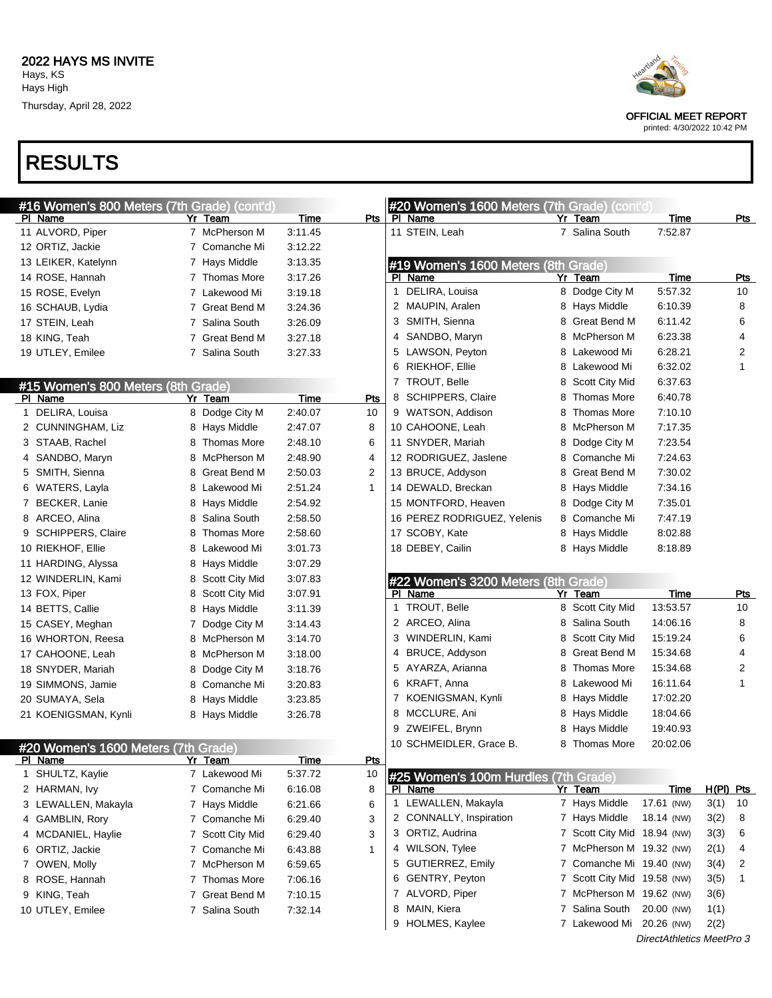



printed: 4/30/2022 10:42 PM

DirectAthletics MeetPro 3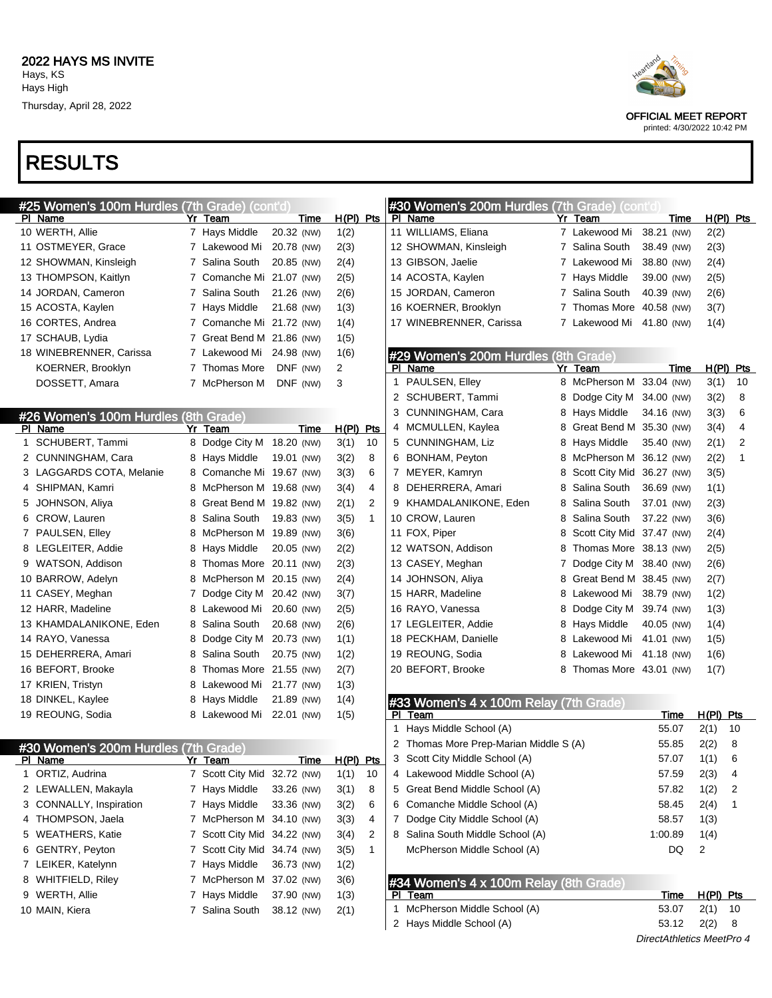# RESULTS

| #25 Women's 100m Hurdles (7th Grade) (cont'd) |   |                             |             |                |    |     | #30 Women's 200m Hurdles (7th Grade) (cont'd) |   |                           |                           |       |                |             |
|-----------------------------------------------|---|-----------------------------|-------------|----------------|----|-----|-----------------------------------------------|---|---------------------------|---------------------------|-------|----------------|-------------|
| PI Name                                       |   | Yr Team                     | Time        | H(PI) Pts      |    |     | PI Name                                       |   | Yr Team                   |                           | Time  |                | $H(PI)$ Pts |
| 10 WERTH, Allie                               |   | 7 Hays Middle               | 20.32 (NW)  | 1(2)           |    |     | 11 WILLIAMS, Eliana                           |   | 7 Lakewood Mi             | 38.21 (NW)                |       | 2(2)           |             |
| 11 OSTMEYER, Grace                            |   | 7 Lakewood Mi               | 20.78 (NW)  | 2(3)           |    |     | 12 SHOWMAN, Kinsleigh                         |   | 7 Salina South            | 38.49 (NW)                |       | 2(3)           |             |
| 12 SHOWMAN, Kinsleigh                         |   | 7 Salina South              | 20.85 (NW)  | 2(4)           |    |     | 13 GIBSON, Jaelie                             |   | 7 Lakewood Mi             | 38.80 (NW)                |       | 2(4)           |             |
| 13 THOMPSON, Kaitlyn                          |   | 7 Comanche Mi 21.07 (NW)    |             | 2(5)           |    |     | 14 ACOSTA, Kaylen                             |   | 7 Hays Middle             | 39.00 (NW)                |       | 2(5)           |             |
| 14 JORDAN, Cameron                            |   | 7 Salina South              | 21.26 (NW)  | 2(6)           |    |     | 15 JORDAN, Cameron                            |   | 7 Salina South            | 40.39 (NW)                |       | 2(6)           |             |
| 15 ACOSTA, Kaylen                             |   | 7 Hays Middle               | 21.68 (NW)  | 1(3)           |    |     | 16 KOERNER, Brooklyn                          |   | Thomas More 40.58 (NW)    |                           |       | 3(7)           |             |
| 16 CORTES, Andrea                             |   | 7 Comanche Mi 21.72 (NW)    |             | 1(4)           |    |     | 17 WINEBRENNER, Carissa                       |   | 7 Lakewood Mi 41.80 (NW)  |                           |       | 1(4)           |             |
| 17 SCHAUB, Lydia                              |   | 7 Great Bend M 21.86 (NW)   |             | 1(5)           |    |     |                                               |   |                           |                           |       |                |             |
| 18 WINEBRENNER, Carissa                       |   | 7 Lakewood Mi 24.98 (NW)    |             | 1(6)           |    |     | #29 Women's 200m Hurdles (8th Grade)          |   |                           |                           |       |                |             |
| KOERNER, Brooklyn                             |   | 7 Thomas More               | DNF (NW)    | $\overline{2}$ |    |     | PI Name                                       |   | Yr Team                   |                           | Time  |                | $H(PI)$ Pts |
| DOSSETT, Amara                                |   | 7 McPherson M               | DNF (NW)    | 3              |    | 1   | PAULSEN, Elley                                |   | 8 McPherson M 33.04 (NW)  |                           |       | 3(1)           | 10          |
|                                               |   |                             |             |                |    | 2   | SCHUBERT, Tammi                               | 8 | Dodge City M 34.00 (NW)   |                           |       | 3(2)           | 8           |
| #26 Women's 100m Hurdles (8th Grade)          |   |                             |             |                |    | 3   | CUNNINGHAM, Cara                              | 8 | Hays Middle               | 34.16 (NW)                |       | 3(3)           | 6           |
| PI Name                                       |   | Yr Team                     | Time        | H(PI) Pts      |    |     | 4 MCMULLEN, Kaylea                            | 8 | Great Bend M 35.30 (NW)   |                           |       | 3(4)           | 4           |
| 1 SCHUBERT, Tammi                             |   | 8 Dodge City M              | 18.20 (NW)  | 3(1)           | 10 |     | 5 CUNNINGHAM, Liz                             | 8 | Hays Middle               | 35.40 (NW)                |       | 2(1)           | 2           |
| 2 CUNNINGHAM, Cara                            | 8 | Hays Middle                 | 19.01 (NW)  | 3(2)           | 8  |     | 6 BONHAM, Peyton                              | 8 | McPherson M 36.12 (NW)    |                           |       | 2(2)           | 1           |
| 3 LAGGARDS COTA, Melanie                      | 8 | Comanche Mi 19.67 (NW)      |             | 3(3)           | 6  |     | 7 MEYER, Kamryn                               | 8 | Scott City Mid 36.27 (NW) |                           |       | 3(5)           |             |
| 4 SHIPMAN, Kamri                              | 8 | McPherson M 19.68 (NW)      |             | 3(4)           | 4  | 8   | DEHERRERA, Amari                              | 8 | Salina South              | 36.69 (NW)                |       | 1(1)           |             |
| 5 JOHNSON, Aliya                              | 8 | Great Bend M 19.82 (NW)     |             | 2(1)           | 2  |     | 9 KHAMDALANIKONE, Eden                        | 8 | Salina South              | 37.01 (NW)                |       | 2(3)           |             |
| 6 CROW, Lauren                                | 8 | Salina South                | 19.83 (NW)  | 3(5)           | 1  |     | 10 CROW, Lauren                               | 8 | Salina South              | 37.22 (NW)                |       | 3(6)           |             |
| 7 PAULSEN, Elley                              | 8 | McPherson M 19.89 (NW)      |             | 3(6)           |    |     | 11 FOX, Piper                                 | 8 | Scott City Mid 37.47 (NW) |                           |       | 2(4)           |             |
| 8 LEGLEITER, Addie                            | 8 | Hays Middle                 | 20.05 (NW)  | 2(2)           |    |     | 12 WATSON, Addison                            | 8 | Thomas More 38.13 (NW)    |                           |       | 2(5)           |             |
| 9 WATSON, Addison                             | 8 | Thomas More 20.11 (NW)      |             | 2(3)           |    |     | 13 CASEY, Meghan                              | 7 | Dodge City M 38.40 (NW)   |                           |       | 2(6)           |             |
| 10 BARROW, Adelyn                             | 8 | McPherson M 20.15 (NW)      |             | 2(4)           |    |     | 14 JOHNSON, Aliya                             | 8 | Great Bend M 38.45 (NW)   |                           |       | 2(7)           |             |
| 11 CASEY, Meghan                              | 7 | Dodge City M 20.42 (NW)     |             | 3(7)           |    |     | 15 HARR, Madeline                             | 8 | Lakewood Mi               | 38.79 (NW)                |       | 1(2)           |             |
| 12 HARR, Madeline                             | 8 | Lakewood Mi                 | 20.60 (NW)  | 2(5)           |    |     | 16 RAYO, Vanessa                              | 8 | Dodge City M 39.74 (NW)   |                           |       | 1(3)           |             |
| 13 KHAMDALANIKONE, Eden                       | 8 | Salina South                | 20.68 (NW)  | 2(6)           |    |     | 17 LEGLEITER, Addie                           | 8 | Hays Middle               | 40.05 (NW)                |       | 1(4)           |             |
| 14 RAYO, Vanessa                              | 8 | Dodge City M                | 20.73 (NW)  | 1(1)           |    |     | 18 PECKHAM, Danielle                          | 8 | Lakewood Mi               | 41.01 (NW)                |       | 1(5)           |             |
| 15 DEHERRERA, Amari                           | 8 | Salina South                | 20.75 (NW)  | 1(2)           |    |     | 19 REOUNG, Sodia                              | 8 | Lakewood Mi 41.18 (NW)    |                           |       | 1(6)           |             |
| 16 BEFORT, Brooke                             | 8 | Thomas More 21.55 (NW)      |             | 2(7)           |    |     | 20 BEFORT, Brooke                             |   | 8 Thomas More 43.01 (NW)  |                           |       | 1(7)           |             |
| 17 KRIEN, Tristyn                             | 8 | Lakewood Mi                 | 21.77 (NW)  | 1(3)           |    |     |                                               |   |                           |                           |       |                |             |
| 18 DINKEL, Kaylee                             | 8 | Hays Middle                 | 21.89 (NW)  | 1(4)           |    |     | #33 Women's 4 x 100m Relay (7th Grade)        |   |                           |                           |       |                |             |
| 19 REOUNG, Sodia                              |   | 8 Lakewood Mi               | 22.01 (NW)  | 1(5)           |    |     | PI Team                                       |   |                           |                           | Time  | $H(PI)$ Pts    |             |
|                                               |   |                             |             |                |    |     | 1 Hays Middle School (A)                      |   |                           |                           | 55.07 | 2(1)           | 10          |
| #30 Women's 200m Hurdles (7th Grade)          |   |                             |             |                |    |     | 2 Thomas More Prep-Marian Middle S (A)        |   |                           |                           | 55.85 | 2(2)           | 8           |
| PI Name                                       |   | <u>Yr Team </u>             | <u>Time</u> | H(PI) Pts      |    |     | 3 Scott City Middle School (A)                |   |                           |                           | 57.07 | 1(1)           | 6           |
| 1 ORTIZ, Audrina                              |   | 7 Scott City Mid 32.72 (NW) |             | 1(1)           | 10 |     | 4 Lakewood Middle School (A)                  |   |                           |                           | 57.59 | 2(3)           | 4           |
| 2 LEWALLEN, Makayla                           |   | 7 Hays Middle               | 33.26 (NW)  | 3(1)           | 8  |     | 5 Great Bend Middle School (A)                |   |                           |                           | 57.82 | 1(2)           | 2           |
| 3 CONNALLY, Inspiration                       |   | 7 Hays Middle               | 33.36 (NW)  | 3(2)           | 6  |     | 6 Comanche Middle School (A)                  |   |                           |                           | 58.45 | 2(4)           |             |
| 4 THOMPSON, Jaela                             |   | 7 McPherson M 34.10 (NW)    |             | 3(3)           | 4  |     | 7 Dodge City Middle School (A)                |   |                           |                           | 58.57 | 1(3)           |             |
| 5 WEATHERS, Katie                             |   | 7 Scott City Mid 34.22 (NW) |             | 3(4)           | 2  |     | 8 Salina South Middle School (A)              |   |                           | 1:00.89                   |       | 1(4)           |             |
| 6 GENTRY, Peyton                              |   | 7 Scott City Mid 34.74 (NW) |             | 3(5)           | 1  |     | McPherson Middle School (A)                   |   |                           |                           | DQ    | $\overline{2}$ |             |
| 7 LEIKER, Katelynn                            |   | 7 Hays Middle               | 36.73 (NW)  | 1(2)           |    |     |                                               |   |                           |                           |       |                |             |
| 8 WHITFIELD, Riley                            |   | 7 McPherson M 37.02 (NW)    |             | 3(6)           |    |     | #34 Women's 4 x 100m Relay (8th Grade)        |   |                           |                           |       |                |             |
| 9 WERTH, Allie                                |   | 7 Hays Middle               | 37.90 (NW)  | 1(3)           |    | PI. | Team                                          |   |                           |                           | Time  | $H(PI)$ Pts    |             |
| 10 MAIN, Kiera                                |   | 7 Salina South              | 38.12 (NW)  | 2(1)           |    |     | 1 McPherson Middle School (A)                 |   |                           |                           | 53.07 | 2(1)           | -10         |
|                                               |   |                             |             |                |    |     | 2 Hays Middle School (A)                      |   |                           |                           | 53.12 | 2(2)           | 8           |
|                                               |   |                             |             |                |    |     |                                               |   |                           | DirectAthletics MeetPro 4 |       |                |             |



OFFICIAL MEET REPORT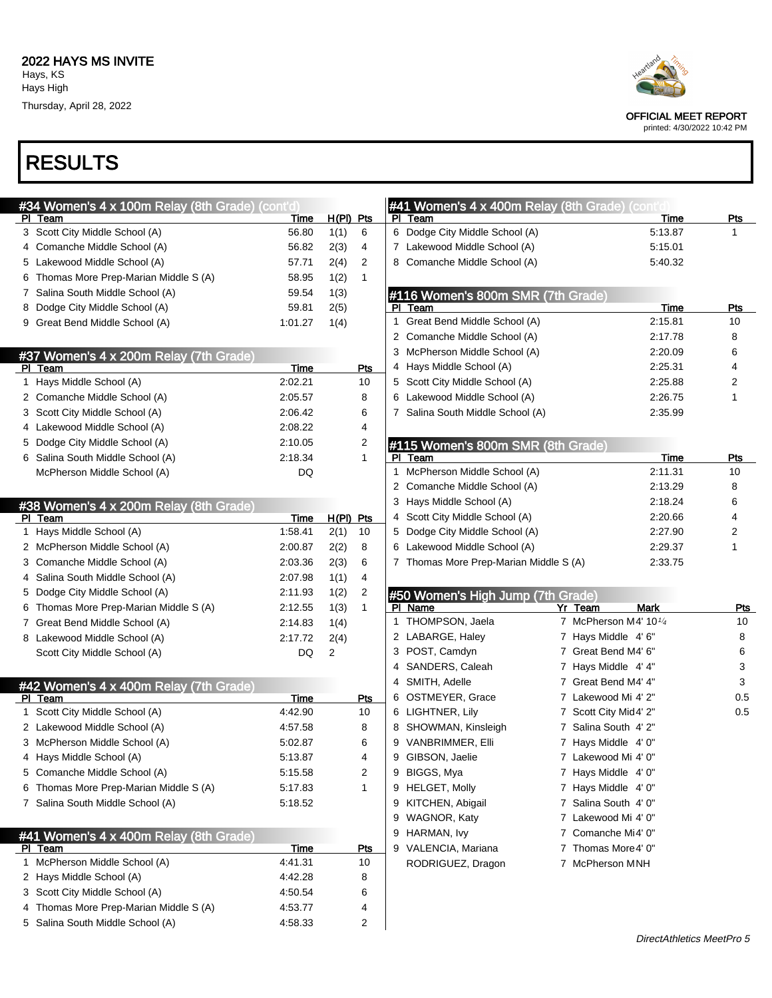

|   | #34 Women's 4 x 100m Relay (8th Grade) (cont'd)                            |                    |           |              |              | #41 Women's 4 x 400m Relay (8th Grade) (contident |                        |            |
|---|----------------------------------------------------------------------------|--------------------|-----------|--------------|--------------|---------------------------------------------------|------------------------|------------|
|   | PI Team                                                                    | Time               | H(PI) Pts |              |              | PI Team                                           | Time                   | <b>Pts</b> |
|   | 3 Scott City Middle School (A)                                             | 56.80              | 1(1)      | 6            |              | 6 Dodge City Middle School (A)                    | 5:13.87                | 1          |
|   | 4 Comanche Middle School (A)                                               | 56.82              | 2(3)      | 4            |              | 7 Lakewood Middle School (A)                      | 5:15.01                |            |
|   | 5 Lakewood Middle School (A)                                               | 57.71              | 2(4)      | 2            |              | 8 Comanche Middle School (A)                      | 5:40.32                |            |
|   | Thomas More Prep-Marian Middle S (A)                                       | 58.95              | 1(2)      | $\mathbf{1}$ |              |                                                   |                        |            |
|   | 7 Salina South Middle School (A)                                           | 59.54              | 1(3)      |              |              | #116 Women's 800m SMR (7th Grade)                 |                        |            |
|   | 8 Dodge City Middle School (A)                                             | 59.81              | 2(5)      |              | PI.          | Team                                              | Time                   | <b>Pts</b> |
|   | 9 Great Bend Middle School (A)                                             | 1:01.27            | 1(4)      |              | 1            | Great Bend Middle School (A)                      | 2:15.81                | 10         |
|   |                                                                            |                    |           |              |              | 2 Comanche Middle School (A)                      | 2:17.78                | 8          |
|   | #37 Women's 4 x 200m Relay (7th Grade)                                     |                    |           |              |              | 3 McPherson Middle School (A)                     | 2:20.09                | 6          |
|   | PI Team                                                                    | Time               |           | Pts          |              | 4 Hays Middle School (A)                          | 2:25.31                | 4          |
|   | 1 Hays Middle School (A)                                                   | 2:02.21            |           | 10           |              | 5 Scott City Middle School (A)                    | 2:25.88                | 2          |
|   | 2 Comanche Middle School (A)                                               | 2:05.57            |           | 8            |              | 6 Lakewood Middle School (A)                      | 2:26.75                | 1          |
|   | 3 Scott City Middle School (A)                                             | 2:06.42            |           | 6            |              | 7 Salina South Middle School (A)                  | 2:35.99                |            |
|   | 4 Lakewood Middle School (A)                                               | 2:08.22            |           | 4            |              |                                                   |                        |            |
|   | 5 Dodge City Middle School (A)                                             | 2:10.05            |           | 2            |              | #115 Women's 800m SMR (8th Grade)                 |                        |            |
|   | 6 Salina South Middle School (A)                                           | 2:18.34            |           | $\mathbf{1}$ |              | PI Team                                           | Time                   | Pts        |
|   | McPherson Middle School (A)                                                | DQ                 |           |              | $\mathbf{1}$ | McPherson Middle School (A)                       | 2:11.31                | 10         |
|   |                                                                            |                    |           |              |              | 2 Comanche Middle School (A)                      | 2:13.29                | 8          |
|   | #38 Women's 4 x 200m Relay (8th Grade)                                     |                    |           |              |              | 3 Hays Middle School (A)                          | 2:18.24                | 6          |
|   | PI Team                                                                    | Time               | H(PI) Pts |              |              | 4 Scott City Middle School (A)                    | 2:20.66                | 4          |
|   | 1 Hays Middle School (A)                                                   | 1:58.41            | 2(1)      | 10           |              | 5 Dodge City Middle School (A)                    | 2:27.90                | 2          |
|   | 2 McPherson Middle School (A)                                              | 2:00.87            | 2(2)      | 8            |              | 6 Lakewood Middle School (A)                      | 2:29.37                | 1          |
|   | 3 Comanche Middle School (A)                                               | 2:03.36            | 2(3)      | 6            |              | 7 Thomas More Prep-Marian Middle S (A)            | 2:33.75                |            |
| 4 | Salina South Middle School (A)                                             | 2:07.98            | 1(1)      | 4            |              |                                                   |                        |            |
|   | 5 Dodge City Middle School (A)                                             | 2:11.93            | 1(2)      | 2            |              | #50 Women's High Jump (7th Grade)                 |                        |            |
|   | 6 Thomas More Prep-Marian Middle S (A)                                     | 2:12.55            | 1(3)      | $\mathbf{1}$ |              | PI Name                                           | <b>Mark</b><br>Yr Team | <b>Pts</b> |
|   |                                                                            |                    |           |              |              |                                                   |                        | 10         |
|   |                                                                            |                    |           |              | 1            |                                                   | 7 McPherson M4' 101/4  |            |
|   | 7 Great Bend Middle School (A)                                             | 2:14.83            | 1(4)      |              |              | THOMPSON, Jaela                                   |                        | 8          |
|   | 8 Lakewood Middle School (A)                                               | 2:17.72            | 2(4)      |              |              | 2 LABARGE, Haley                                  | 7 Hays Middle 4' 6"    |            |
|   | Scott City Middle School (A)                                               | DQ                 | 2         |              |              | 3 POST, Camdyn                                    | 7 Great Bend M4' 6"    | 6          |
|   |                                                                            |                    |           |              |              | 4 SANDERS, Caleah                                 | 7 Hays Middle 4' 4"    | 3          |
|   | #42 Women's 4 x 400m Relay (7th Grade)                                     |                    |           |              |              | 4 SMITH, Adelle                                   | 7 Great Bend M4' 4"    | 3          |
|   | PI Team                                                                    | Time               |           | Pts          |              | 6 OSTMEYER, Grace                                 | 7 Lakewood Mi 4' 2"    | 0.5        |
|   | 1 Scott City Middle School (A)                                             | 4:42.90            |           | 10           |              | 6 LIGHTNER, Lily                                  | 7 Scott City Mid4' 2"  | 0.5        |
|   | 2 Lakewood Middle School (A)                                               | 4:57.58            |           | 8            |              | 8 SHOWMAN, Kinsleigh                              | 7 Salina South 4' 2"   |            |
|   | 3 McPherson Middle School (A)                                              | 5:02.87            |           | 6            |              | 9 VANBRIMMER, Elli                                | 7 Hays Middle 4' 0"    |            |
|   | 4 Hays Middle School (A)                                                   | 5:13.87            |           | 4            |              | 9 GIBSON, Jaelie                                  | 7 Lakewood Mi 4' 0"    |            |
|   | 5 Comanche Middle School (A)                                               | 5:15.58            |           | 2            |              | 9 BIGGS, Mya                                      | 7 Hays Middle 4' 0"    |            |
|   | 6 Thomas More Prep-Marian Middle S (A)                                     | 5.17.83            |           | 1            |              | 9 HELGET, Molly                                   | 7 Hays Middle 4' 0"    |            |
|   | 7 Salina South Middle School (A)                                           | 5:18.52            |           |              |              | 9 KITCHEN, Abigail                                | 7 Salina South 4' 0"   |            |
|   |                                                                            |                    |           |              |              | 9 WAGNOR, Katy                                    | 7 Lakewood Mi 4' 0"    |            |
|   | #41 Women's 4 x 400m Relay (8th Grade)                                     |                    |           |              |              | 9 HARMAN, Ivy                                     | 7 Comanche Mi4' 0"     |            |
|   | PI Team                                                                    | Time               |           | <u>Pts</u>   |              | 9 VALENCIA, Mariana                               | 7 Thomas More 4' 0"    |            |
|   | 1 McPherson Middle School (A)                                              | 4:41.31            |           | 10           |              | RODRIGUEZ, Dragon                                 | 7 McPherson MNH        |            |
|   | 2 Hays Middle School (A)                                                   | 4:42.28            |           | 8            |              |                                                   |                        |            |
|   | 3 Scott City Middle School (A)                                             | 4:50.54            |           | 6            |              |                                                   |                        |            |
|   | 4 Thomas More Prep-Marian Middle S (A)<br>5 Salina South Middle School (A) | 4:53.77<br>4:58.33 |           | 4<br>2       |              |                                                   |                        |            |

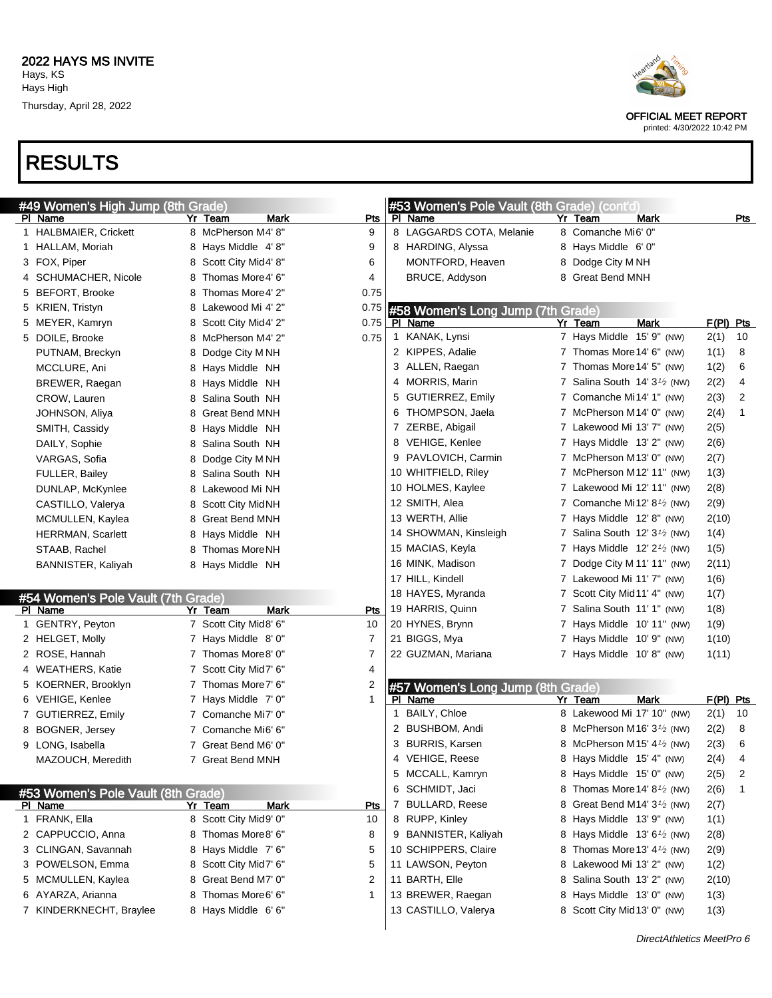

printed: 4/30/2022 10:42 PM

|    | #49 Women's High Jump (8th Grade)  |                       |      |              |   | #53 Women's Pole Vault (8th Grade) (cont'd) |   |                                                      |             |             |     |
|----|------------------------------------|-----------------------|------|--------------|---|---------------------------------------------|---|------------------------------------------------------|-------------|-------------|-----|
|    | PI Name                            | Yr Team               | Mark | <u>Pts</u>   |   | PI Name                                     |   | Yr Team                                              | Mark        |             | Pts |
|    | 1 HALBMAIER, Crickett              | 8 McPherson M4' 8"    |      | 9            |   | 8 LAGGARDS COTA, Melanie                    |   | 8 Comanche Mi6' 0"                                   |             |             |     |
|    | 1 HALLAM, Moriah                   | 8 Hays Middle 4'8"    |      | 9            |   | 8 HARDING, Alyssa                           |   | 8 Hays Middle 6' 0"                                  |             |             |     |
|    | 3 FOX, Piper                       | 8 Scott City Mid4' 8" |      | 6            |   | MONTFORD, Heaven                            |   | 8 Dodge City M NH                                    |             |             |     |
|    | 4 SCHUMACHER, Nicole               | 8 Thomas More4' 6"    |      | 4            |   | BRUCE, Addyson                              |   | 8 Great Bend MNH                                     |             |             |     |
|    | 5 BEFORT, Brooke                   | 8 Thomas More4' 2"    |      | 0.75         |   |                                             |   |                                                      |             |             |     |
|    | 5 KRIEN, Tristyn                   | 8 Lakewood Mi 4' 2"   |      | 0.75         |   | #58 Women's Long Jump (7th Grade)           |   |                                                      |             |             |     |
|    | 5 MEYER, Kamryn                    | 8 Scott City Mid4' 2" |      | 0.75         |   | PI Name                                     |   | Yr Team                                              | <b>Mark</b> | $F(PI)$ Pts |     |
|    | 5 DOILE, Brooke                    | 8 McPherson M4' 2"    |      | 0.75         |   | 1 KANAK, Lynsi                              |   | 7 Hays Middle 15' 9" (NW)                            |             | 2(1)        | 10  |
|    | PUTNAM, Breckyn                    | 8 Dodge City MNH      |      |              |   | 2 KIPPES, Adalie                            |   | 7 Thomas More 14' 6" (NW)                            |             | 1(1)        | 8   |
|    | MCCLURE, Ani                       | 8 Hays Middle NH      |      |              |   | 3 ALLEN, Raegan                             |   | 7 Thomas More 14' 5" (NW)                            |             | 1(2)        | 6   |
|    | BREWER, Raegan                     | 8 Hays Middle NH      |      |              |   | 4 MORRIS, Marin                             |   | 7 Salina South $14'3\frac{1}{2}$ (NW)                |             | 2(2)        | 4   |
|    | CROW, Lauren                       | 8 Salina South NH     |      |              |   | 5 GUTIERREZ, Emily                          |   | 7 Comanche Mi14' 1" (NW)                             |             | 2(3)        | 2   |
|    | JOHNSON, Aliya                     | 8 Great Bend MNH      |      |              |   | 6 THOMPSON, Jaela                           |   | 7 McPherson M14' 0" (NW)                             |             | 2(4)        | 1   |
|    | SMITH, Cassidy                     | 8 Hays Middle NH      |      |              |   | 7 ZERBE, Abigail                            |   | 7 Lakewood Mi 13' 7" (NW)                            |             | 2(5)        |     |
|    | DAILY, Sophie                      | 8 Salina South NH     |      |              |   | 8 VEHIGE, Kenlee                            |   | 7 Hays Middle 13' 2" (NW)                            |             | 2(6)        |     |
|    | VARGAS, Sofia                      | 8 Dodge City MNH      |      |              |   | 9 PAVLOVICH, Carmin                         |   | 7 McPherson M13' 0" (NW)                             |             | 2(7)        |     |
|    | <b>FULLER, Bailey</b>              | 8 Salina South NH     |      |              |   | 10 WHITFIELD, Riley                         |   | 7 McPherson M12' 11" (NW)                            |             | 1(3)        |     |
|    | DUNLAP, McKynlee                   | 8 Lakewood Mi NH      |      |              |   | 10 HOLMES, Kaylee                           |   | 7 Lakewood Mi 12' 11" (NW)                           |             | 2(8)        |     |
|    | CASTILLO, Valerya                  | 8 Scott City MidNH    |      |              |   | 12 SMITH, Alea                              |   | 7 Comanche Mi12' $8\frac{1}{2}$ (NW)                 |             | 2(9)        |     |
|    | MCMULLEN, Kaylea                   | 8 Great Bend MNH      |      |              |   | 13 WERTH, Allie                             |   | 7 Hays Middle 12' 8" (NW)                            |             | 2(10)       |     |
|    | <b>HERRMAN, Scarlett</b>           | 8 Hays Middle NH      |      |              |   | 14 SHOWMAN, Kinsleigh                       |   | 7 Salina South $12'3'$ (NW)                          |             | 1(4)        |     |
|    | STAAB, Rachel                      | 8 Thomas MoreNH       |      |              |   | 15 MACIAS, Keyla                            |   | 7 Hays Middle $12' 2'$ (NW)                          |             | 1(5)        |     |
|    | BANNISTER, Kaliyah                 | 8 Hays Middle NH      |      |              |   | 16 MINK, Madison                            | 7 | Dodge City M 11' 11" (NW)                            |             | 2(11)       |     |
|    |                                    |                       |      |              |   | 17 HILL, Kindell                            |   | 7 Lakewood Mi 11' 7" (NW)                            |             | 1(6)        |     |
|    | #54 Women's Pole Vault (7th Grade) |                       |      |              |   | 18 HAYES, Myranda                           |   | 7 Scott City Mid 11' 4" (NW)                         |             | 1(7)        |     |
|    | PI_Name                            | Yr Team               | Mark | <b>Pts</b>   |   | 19 HARRIS, Quinn                            |   | 7 Salina South 11' 1" (NW)                           |             | 1(8)        |     |
|    | 1 GENTRY, Peyton                   | 7 Scott City Mid8' 6" |      | 10           |   | 20 HYNES, Brynn                             |   | 7 Hays Middle 10' 11" (NW)                           |             | 1(9)        |     |
|    | 2 HELGET, Molly                    | 7 Hays Middle 8'0"    |      | 7            |   | 21 BIGGS, Mya                               |   | 7 Hays Middle 10' 9" (NW)                            |             | 1(10)       |     |
|    | 2 ROSE, Hannah                     | 7 Thomas More8' 0"    |      | 7            |   | 22 GUZMAN, Mariana                          |   | 7 Hays Middle 10'8" (NW)                             |             | 1(11)       |     |
|    | 4 WEATHERS, Katie                  | 7 Scott City Mid7' 6" |      | 4            |   |                                             |   |                                                      |             |             |     |
|    | 5 KOERNER, Brooklyn                | 7 Thomas More7' 6"    |      | 2            |   | #57 Women's Long Jump (8th Grade)           |   |                                                      |             |             |     |
|    | 6 VEHIGE, Kenlee                   | 7 Hays Middle 7' 0"   |      | $\mathbf{1}$ |   | PI Name                                     |   | Yr Team                                              | Mark        | $F(PI)$ Pts |     |
|    | 7 GUTIERREZ, Emily                 | 7 Comanche Mi7' 0"    |      |              | 1 | BAILY, Chloe                                |   | 8 Lakewood Mi 17' 10" (NW)                           |             | 2(1)        | 10  |
| 8. | <b>BOGNER, Jersey</b>              | 7 Comanche Mi6' 6"    |      |              |   | 2 BUSHBOM, Andi                             |   | 8 McPherson M16' 3 <sup>1</sup> / <sub>2</sub> (NW)  |             | 2(2)        | 8   |
|    | 9 LONG, Isabella                   | 7 Great Bend M6' 0"   |      |              |   | 3 BURRIS, Karsen                            |   | 8 McPherson M15' $4\frac{1}{2}$ (NW)                 |             | 2(3)        | 6   |
|    | MAZOUCH, Meredith                  | 7 Great Bend MNH      |      |              |   | 4 VEHIGE, Reese                             |   | 8 Hays Middle 15' 4" (NW)                            |             | 2(4)        | 4   |
|    |                                    |                       |      |              |   | 5 MCCALL, Kamryn                            |   | 8 Hays Middle 15' 0" (NW)                            |             | 2(5)        | 2   |
|    | #53 Women's Pole Vault (8th Grade) |                       |      |              |   | 6 SCHMIDT, Jaci                             |   | 8 Thomas More 14' 8 <sup>1</sup> / <sub>2</sub> (NW) |             | 2(6)        | 1   |
|    | PI Name                            | Yr Team               | Mark | Pts          |   | 7 BULLARD, Reese                            |   | 8 Great Bend M14' 3 <sup>1</sup> / <sub>2</sub> (NW) |             | 2(7)        |     |
|    | 1 FRANK, Ella                      | 8 Scott City Mid9' 0" |      | 10           |   | 8 RUPP, Kinley                              |   | 8 Hays Middle 13' 9" (NW)                            |             | 1(1)        |     |
|    | 2 CAPPUCCIO, Anna                  | 8 Thomas More8' 6"    |      | 8            |   | 9 BANNISTER, Kaliyah                        |   | 8 Hays Middle $13'6'$ (NW)                           |             | 2(8)        |     |
|    | 3 CLINGAN, Savannah                | 8 Hays Middle 7' 6"   |      | 5            |   | 10 SCHIPPERS, Claire                        |   | 8 Thomas More 13' 4 <sup>1</sup> / <sub>2</sub> (NW) |             | 2(9)        |     |
|    | 3 POWELSON, Emma                   | 8 Scott City Mid7' 6" |      | 5            |   | 11 LAWSON, Peyton                           |   | 8 Lakewood Mi 13' 2" (NW)                            |             | 1(2)        |     |
|    | 5 MCMULLEN, Kaylea                 | 8 Great Bend M7' 0"   |      | 2            |   | 11 BARTH, Elle                              |   | 8 Salina South 13' 2" (NW)                           |             | 2(10)       |     |
|    | 6 AYARZA, Arianna                  | 8 Thomas More6' 6"    |      | 1            |   | 13 BREWER, Raegan                           |   | 8 Hays Middle 13' 0" (NW)                            |             | 1(3)        |     |
|    | 7 KINDERKNECHT, Braylee            | 8 Hays Middle 6'6"    |      |              |   | 13 CASTILLO, Valerya                        |   | 8 Scott City Mid 13' 0" (NW)                         |             | 1(3)        |     |
|    |                                    |                       |      |              |   |                                             |   |                                                      |             |             |     |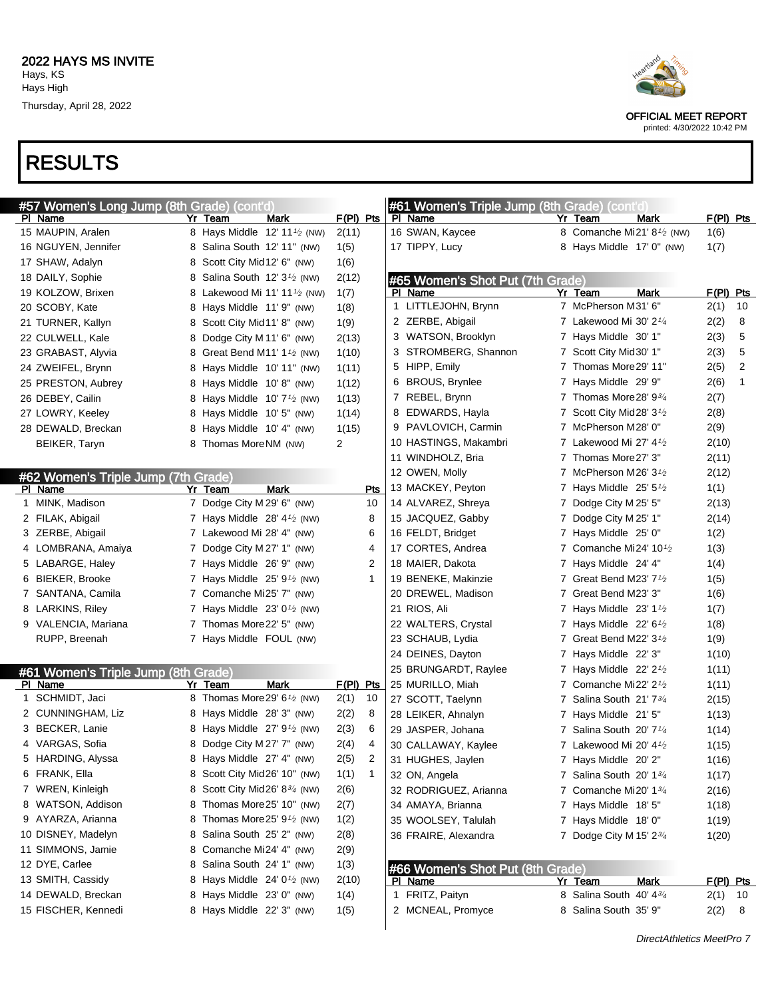

| #57 Women's Long Jump (8th Grade) (cont'd)     |   |                                                       |                   |     | #61 Women's Triple Jump (8th Grade)   |   | (cont'd                                             |           |             |
|------------------------------------------------|---|-------------------------------------------------------|-------------------|-----|---------------------------------------|---|-----------------------------------------------------|-----------|-------------|
| PI Name                                        |   | Yr Team<br>Mark                                       | $F(PI)$ Pts       |     | PI Name                               |   | Yr Team<br>Mark                                     | F(PI) Pts |             |
| 15 MAUPIN, Aralen                              |   | 8 Hays Middle 12' 11 <sup>1</sup> / <sub>2</sub> (NW) | 2(11)             |     | 16 SWAN, Kaycee                       |   | 8 Comanche Mi21' 8 <sup>1</sup> / <sub>2</sub> (NW) | 1(6)      |             |
| 16 NGUYEN, Jennifer                            |   | 8 Salina South 12' 11" (NW)                           | 1(5)              |     | 17 TIPPY, Lucy                        |   | 8 Hays Middle 17' 0" (NW)                           | 1(7)      |             |
| 17 SHAW, Adalyn                                |   | 8 Scott City Mid 12' 6" (NW)                          | 1(6)              |     |                                       |   |                                                     |           |             |
| 18 DAILY, Sophie                               |   | 8 Salina South 12' 3 <sup>1</sup> / <sub>2</sub> (NW) | 2(12)             |     | #65 Women's Shot Put (7th Grade)      |   |                                                     |           |             |
| 19 KOLZOW, Brixen                              |   | 8 Lakewood Mi 11' 11 <sup>1</sup> / <sub>2</sub> (NW) | 1(7)              |     | PI Name                               |   | Yr Team<br><b>Mark</b>                              | F(PI) Pts |             |
| 20 SCOBY, Kate                                 |   | 8 Hays Middle 11' 9" (NW)                             | 1(8)              |     | 1 LITTLEJOHN, Brynn                   |   | 7 McPherson M31' 6"                                 | 2(1)      | 10          |
| 21 TURNER, Kallyn                              |   | 8 Scott City Mid11' 8" (NW)                           | 1(9)              |     | 2 ZERBE, Abigail                      |   | 7 Lakewood Mi 30' 21/4                              | 2(2)      | 8           |
| 22 CULWELL, Kale                               |   | 8 Dodge City M 11' 6" (NW)                            | 2(13)             |     | 3 WATSON, Brooklyn                    |   | 7 Hays Middle 30' 1"                                | 2(3)      | 5           |
| 23 GRABAST, Alyvia                             |   | 8 Great Bend M11' 1 <sup>1</sup> / <sub>2</sub> (NW)  | 1(10)             |     | 3 STROMBERG, Shannon                  |   | 7 Scott City Mid 30' 1"                             | 2(3)      | 5           |
| 24 ZWEIFEL, Brynn                              |   | 8 Hays Middle 10' 11" (NW)                            | 1(11)             |     | 5 HIPP, Emily                         |   | 7 Thomas More 29' 11"                               | 2(5)      | 2           |
| 25 PRESTON, Aubrey                             |   | 8 Hays Middle 10'8" (NW)                              | 1(12)             |     | 6 BROUS, Brynlee                      |   | 7 Hays Middle 29' 9"                                | 2(6)      | $\mathbf 1$ |
| 26 DEBEY, Cailin                               |   | 8 Hays Middle $10'7'$ (NW)                            | 1(13)             |     | 7 REBEL, Brynn                        |   | 7 Thomas More 28' 934                               | 2(7)      |             |
| 27 LOWRY, Keeley                               |   | 8 Hays Middle 10' 5" (NW)                             | 1(14)             |     | 8 EDWARDS, Hayla                      |   | 7 Scott City Mid28' 3 <sup>1</sup> /2               | 2(8)      |             |
| 28 DEWALD, Breckan                             |   | 8 Hays Middle 10' 4" (NW)                             | 1(15)             |     | 9 PAVLOVICH, Carmin                   |   | 7 McPherson M28' 0"                                 | 2(9)      |             |
| BEIKER, Taryn                                  |   | 8 Thomas MoreNM (NW)                                  | $\overline{2}$    |     | 10 HASTINGS, Makambri                 |   | 7 Lakewood Mi 27' $4\frac{1}{2}$                    | 2(10)     |             |
|                                                |   |                                                       |                   |     | 11 WINDHOLZ, Bria                     |   | 7 Thomas More 27' 3"                                | 2(11)     |             |
|                                                |   |                                                       |                   |     | 12 OWEN, Molly                        |   | 7 McPherson M26' 3 <sup>1</sup> /2                  | 2(12)     |             |
| #62 Women's Triple Jump (7th Grade)<br>PI Name |   | Mark<br>Yr Team                                       |                   | Pts | 13 MACKEY, Peyton                     |   | 7 Hays Middle $25'5\frac{1}{2}$                     | 1(1)      |             |
| 1 MINK, Madison                                |   | 7 Dodge City M 29' 6" (NW)                            |                   | 10  | 14 ALVAREZ, Shreya                    |   | 7 Dodge City M 25' 5"                               | 2(13)     |             |
| 2 FILAK, Abigail                               |   | 7 Hays Middle $28' 4\frac{1}{2}$ (NW)                 |                   | 8   | 15 JACQUEZ, Gabby                     |   | 7 Dodge City M 25' 1"                               | 2(14)     |             |
| 3 ZERBE, Abigail                               |   | 7 Lakewood Mi 28' 4" (NW)                             |                   | 6   | 16 FELDT, Bridget                     |   | 7 Hays Middle 25' 0"                                | 1(2)      |             |
| 4 LOMBRANA, Amaiya                             |   | 7 Dodge City M 27' 1" (NW)                            |                   | 4   | 17 CORTES, Andrea                     |   | 7 Comanche Mi24' 10 $\frac{1}{2}$                   | 1(3)      |             |
| 5 LABARGE, Haley                               |   | 7 Hays Middle 26' 9" (NW)                             |                   | 2   | 18 MAIER, Dakota                      |   | 7 Hays Middle 24' 4"                                | 1(4)      |             |
| 6 BIEKER, Brooke                               |   | 7 Hays Middle $25' 91/2$ (NW)                         |                   | 1   | 19 BENEKE, Makinzie                   |   | 7 Great Bend M23' $7\frac{1}{2}$                    | 1(5)      |             |
| 7 SANTANA, Camila                              |   | 7 Comanche Mi25' 7" (NW)                              |                   |     | 20 DREWEL, Madison                    |   | 7 Great Bend M23' 3"                                | 1(6)      |             |
| 8 LARKINS, Riley                               |   | 7 Hays Middle $23'0\frac{1}{2}$ (NW)                  |                   |     | 21 RIOS, Ali                          |   | 7 Hays Middle $23'$ 1 <sup>1</sup> / <sub>2</sub>   | 1(7)      |             |
| 9 VALENCIA, Mariana                            |   | 7 Thomas More 22' 5" (NW)                             |                   |     | 22 WALTERS, Crystal                   |   | 7 Hays Middle $22'$ 6 <sup>1</sup> / <sub>2</sub>   | 1(8)      |             |
| RUPP, Breenah                                  |   | 7 Hays Middle FOUL (NW)                               |                   |     | 23 SCHAUB, Lydia                      |   | 7 Great Bend M22' $3\frac{1}{2}$                    | 1(9)      |             |
|                                                |   |                                                       |                   |     | 24 DEINES, Dayton                     |   | 7 Hays Middle 22' 3"                                |           |             |
|                                                |   |                                                       |                   |     | 25 BRUNGARDT, Raylee                  |   | 7 Hays Middle $22' 21/2$                            | 1(10)     |             |
| #61 Women's Triple Jump (8th Grade)<br>PI Name |   | Mark<br>Yr Team                                       |                   |     |                                       |   | 7 Comanche Mi22' $2\frac{1}{2}$                     | 1(11)     |             |
| 1 SCHMIDT, Jaci                                |   | 8 Thomas More 29' 6 <sup>1</sup> / <sub>2</sub> (NW)  | F(PI) Pts<br>2(1) | 10  | 25 MURILLO, Miah<br>27 SCOTT, Taelynn | 7 | Salina South 21' 73/4                               | 1(11)     |             |
| 2 CUNNINGHAM, Liz                              |   | 8 Hays Middle 28' 3" (NW)                             | 2(2)              | 8   |                                       |   |                                                     | 2(15)     |             |
| 3 BECKER, Lanie                                | 8 | Hays Middle $27'$ 9 <sup>1</sup> / <sub>2</sub> (NW)  | 2(3)              | 6   | 28 LEIKER, Ahnalyn                    |   | 7 Hays Middle 21' 5"                                | 1(13)     |             |
| 4 VARGAS, Sofia                                |   | 8 Dodge City M 27' 7" (NW)                            | 2(4)              | 4   | 29 JASPER, Johana                     | 7 | Salina South 20' 7 <sup>1/4</sup>                   | 1(14)     |             |
| 5 HARDING, Alyssa                              |   | 8 Hays Middle 27' 4" (NW)                             |                   |     | 30 CALLAWAY, Kaylee                   |   | 7 Lakewood Mi 20' 41/2                              | 1(15)     |             |
|                                                |   |                                                       | 2(5)              | 2   | 31 HUGHES, Jaylen                     |   | 7 Hays Middle 20' 2"                                | 1(16)     |             |
| 6 FRANK, Ella                                  |   | 8 Scott City Mid26' 10" (NW)                          | 1(1)              | 1   | 32 ON, Angela                         |   | 7 Salina South 20' 13/4                             | 1(17)     |             |
| 7 WREN, Kinleigh                               | 8 | Scott City Mid26' 834 (NW)                            | 2(6)              |     | 32 RODRIGUEZ, Arianna                 |   | 7 Comanche Mi20' 13/4                               | 2(16)     |             |
| 8 WATSON, Addison                              | 8 | Thomas More25' 10" (NW)                               | 2(7)              |     | 34 AMAYA, Brianna                     |   | 7 Hays Middle 18' 5"                                | 1(18)     |             |
| 9 AYARZA, Arianna                              | 8 | Thomas More25' 9 <sup>1</sup> / <sub>2</sub> (NW)     | 1(2)              |     | 35 WOOLSEY, Talulah                   |   | 7 Hays Middle 18' 0"                                | 1(19)     |             |
| 10 DISNEY, Madelyn                             | 8 | Salina South 25' 2" (NW)                              | 2(8)              |     | 36 FRAIRE, Alexandra                  |   | 7 Dodge City M 15' $2\frac{3}{4}$                   | 1(20)     |             |
| 11 SIMMONS, Jamie                              | 8 | Comanche Mi24' 4" (NW)                                | 2(9)              |     |                                       |   |                                                     |           |             |
| 12 DYE, Carlee                                 | 8 | Salina South 24' 1" (NW)                              | 1(3)              |     | #66 Women's Shot Put (8th Grade)      |   |                                                     |           |             |
| 13 SMITH, Cassidy                              | 8 | Hays Middle $24' 01⁄2$ (NW)                           | 2(10)             |     | PI Name                               |   | Yr Team<br>Mark                                     | F(PI) Pts |             |
| 14 DEWALD, Breckan                             | 8 | Hays Middle 23' 0" (NW)                               | 1(4)              |     | 1 FRITZ, Paityn                       |   | 8 Salina South 40' 434                              | 2(1)      | - 10        |
| 15 FISCHER, Kennedi                            |   | 8 Hays Middle 22' 3" (NW)                             | 1(5)              |     | 2 MCNEAL, Promyce                     |   | 8 Salina South 35' 9"                               | 2(2)      | 8           |

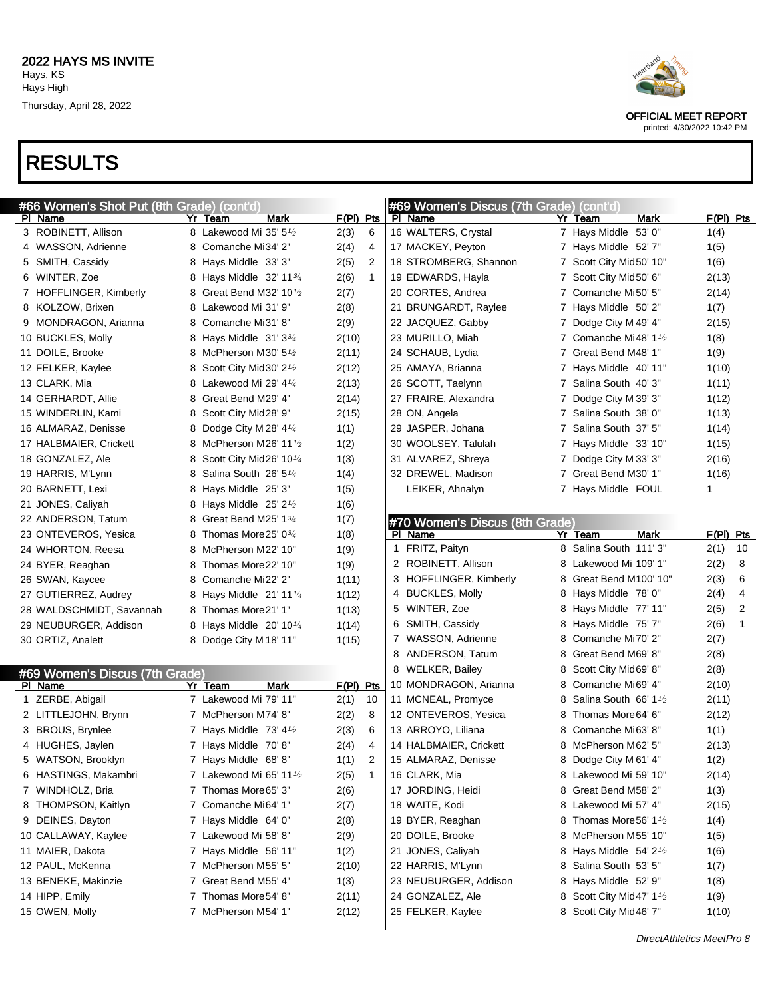

printed: 4/30/2022 10:42 PM

| #66 Women's Shot Put (8th Grade) (cont'd) |                                                 |                      | #69 Women's Discus (7th Grade) (cont'd) |                                                  |             |
|-------------------------------------------|-------------------------------------------------|----------------------|-----------------------------------------|--------------------------------------------------|-------------|
| PI Name                                   | Yr Team<br>Mark                                 | $F(PI)$ Pts          | PI Name                                 | Yr Team<br>Mark                                  | $F(PI)$ Pts |
| 3 ROBINETT, Allison                       | 8 Lakewood Mi 35' 5 <sup>1</sup> /2             | 2(3)<br>6            | 16 WALTERS, Crystal                     | 7 Hays Middle 53' 0"                             | 1(4)        |
| 4 WASSON, Adrienne                        | 8 Comanche Mi34' 2"                             | 2(4)<br>4            | 17 MACKEY, Peyton                       | 7 Hays Middle 52' 7"                             | 1(5)        |
| 5 SMITH, Cassidy                          | 8 Hays Middle 33' 3"                            | 2(5)<br>2            | 18 STROMBERG, Shannon                   | 7 Scott City Mid50' 10"                          | 1(6)        |
| 6 WINTER, Zoe                             | 8 Hays Middle 32' 113/4                         | 2(6)<br>$\mathbf{1}$ | 19 EDWARDS, Hayla                       | 7 Scott City Mid50' 6"                           | 2(13)       |
| 7 HOFFLINGER, Kimberly                    | 8 Great Bend M32' 10 <sup>1</sup> /2            | 2(7)                 | 20 CORTES, Andrea                       | 7 Comanche Mi50' 5"                              | 2(14)       |
| 8 KOLZOW, Brixen                          | 8 Lakewood Mi 31' 9"                            | 2(8)                 | 21 BRUNGARDT, Raylee                    | 7 Hays Middle 50' 2"                             | 1(7)        |
| 9 MONDRAGON, Arianna                      | 8 Comanche Mi31' 8"                             | 2(9)                 | 22 JACQUEZ, Gabby                       | 7 Dodge City M 49' 4"                            | 2(15)       |
| 10 BUCKLES, Molly                         | 8 Hays Middle 31' 33/4                          | 2(10)                | 23 MURILLO, Miah                        | 7 Comanche Mi48' 1 <sup>1</sup> / <sub>2</sub>   | 1(8)        |
| 11 DOILE, Brooke                          | 8 McPherson M30' 5 <sup>1</sup> /2              | 2(11)                | 24 SCHAUB, Lydia                        | 7 Great Bend M48' 1"                             | 1(9)        |
| 12 FELKER, Kaylee                         | 8 Scott City Mid 30' 2 <sup>1</sup> /2          | 2(12)                | 25 AMAYA, Brianna                       | 7 Hays Middle 40' 11"                            | 1(10)       |
| 13 CLARK, Mia                             | 8 Lakewood Mi 29' 41/4                          | 2(13)                | 26 SCOTT, Taelynn                       | 7 Salina South 40' 3"                            | 1(11)       |
| 14 GERHARDT, Allie                        | 8 Great Bend M29' 4"                            | 2(14)                | 27 FRAIRE, Alexandra                    | 7 Dodge City M 39' 3"                            | 1(12)       |
| 15 WINDERLIN, Kami                        | 8 Scott City Mid28' 9"                          | 2(15)                | 28 ON, Angela                           | 7 Salina South 38' 0"                            | 1(13)       |
| 16 ALMARAZ, Denisse                       | 8 Dodge City M 28' $4\frac{1}{4}$               | 1(1)                 | 29 JASPER, Johana                       | 7 Salina South 37' 5"                            | 1(14)       |
| 17 HALBMAIER, Crickett                    | 8 McPherson M26' 11 <sup>1</sup> /2             | 1(2)                 | 30 WOOLSEY, Talulah                     | 7 Hays Middle 33' 10"                            | 1(15)       |
| 18 GONZALEZ, Ale                          | 8 Scott City Mid26' 10 <sup>1/4</sup>           | 1(3)                 | 31 ALVAREZ, Shreya                      | 7 Dodge City M 33' 3"                            | 2(16)       |
| 19 HARRIS, M'Lynn                         | 8 Salina South $26'5''4$                        | 1(4)                 | 32 DREWEL, Madison                      | 7 Great Bend M30' 1"                             | 1(16)       |
| 20 BARNETT, Lexi                          | 8 Hays Middle 25' 3"                            | 1(5)                 | LEIKER, Ahnalyn                         | 7 Hays Middle FOUL                               | 1           |
| 21 JONES, Caliyah                         | 8 Hays Middle 25' 2 <sup>1</sup> /2             | 1(6)                 |                                         |                                                  |             |
| 22 ANDERSON, Tatum                        | 8 Great Bend M25' 1 <sup>3</sup> / <sub>4</sub> | 1(7)                 | #70 Women's Discus (8th Grade)          |                                                  |             |
| 23 ONTEVEROS, Yesica                      | Thomas More 25' $0\frac{3}{4}$<br>8             | 1(8)                 | PI Name                                 | <b>Mark</b><br>Yr Team                           | $F(PI)$ Pts |
| 24 WHORTON, Reesa                         | 8 McPherson M22' 10"                            | 1(9)                 | 1 FRITZ, Paityn                         | 8 Salina South 111' 3"                           | 2(1)<br>10  |
| 24 BYER, Reaghan                          | 8 Thomas More 22' 10"                           | 1(9)                 | 2 ROBINETT, Allison                     | 8 Lakewood Mi 109' 1"                            | 2(2)<br>8   |
| 26 SWAN, Kaycee                           | 8 Comanche Mi22' 2"                             | 1(11)                | 3 HOFFLINGER, Kimberly                  | 8 Great Bend M100' 10"                           | 2(3)<br>6   |
| 27 GUTIERREZ, Audrey                      | 8 Hays Middle 21' 11 1/4                        | 1(12)                | 4 BUCKLES, Molly                        | 8 Hays Middle 78' 0"                             | 2(4)<br>4   |
| 28 WALDSCHMIDT, Savannah                  | 8 Thomas More 21' 1"                            | 1(13)                | 5 WINTER, Zoe                           | 8 Hays Middle 77' 11"                            | 2(5)<br>2   |
| 29 NEUBURGER, Addison                     | 8 Hays Middle 20' 10 <sup>1/4</sup>             | 1(14)                | 6 SMITH, Cassidy                        | 8 Hays Middle 75'7"                              | 1<br>2(6)   |
| 30 ORTIZ, Analett                         | 8 Dodge City M 18' 11"                          | 1(15)                | 7 WASSON, Adrienne                      | 8 Comanche Mi70' 2"                              | 2(7)        |
|                                           |                                                 |                      | ANDERSON, Tatum<br>8                    | 8 Great Bend M69' 8"                             | 2(8)        |
| #69 Women's Discus (7th Grade)            |                                                 |                      | 8 WELKER, Bailey                        | 8 Scott City Mid69' 8"                           | 2(8)        |
| PI Name                                   | Yr Team<br>Mark                                 | $F(PI)$ Pts          | 10 MONDRAGON, Arianna                   | 8 Comanche Mi69' 4"                              | 2(10)       |
| 1 ZERBE, Abigail                          | 7 Lakewood Mi 79' 11"                           | 2(1)<br>10           | 11 MCNEAL, Promyce                      | 8 Salina South 66' 1 <sup>1</sup> / <sub>2</sub> | 2(11)       |
| 2 LITTLEJOHN, Brynn                       | 7 McPherson M74' 8"                             | 2(2)<br>8            | 12 ONTEVEROS, Yesica                    | 8 Thomas More 64' 6"                             | 2(12)       |
| 3 BROUS, Brynlee                          | 7 Hays Middle 73' $4\frac{1}{2}$                | 2(3)<br>6            | 13 ARROYO, Liliana                      | 8 Comanche Mi63'8"                               | 1(1)        |
| 4 HUGHES, Jaylen                          | 7 Hays Middle 70'8"                             | 2(4)<br>4            | 14 HALBMAIER, Crickett                  | 8 McPherson M62' 5"                              | 2(13)       |
| 5 WATSON, Brooklyn                        | 7 Havs Middle 68'8"                             | 1(1)<br>2            | 15 ALMARAZ, Denisse                     | 8 Dodge City M 61' 4"                            | 1(2)        |
| 6 HASTINGS, Makambri                      | 7 Lakewood Mi 65' 111/2                         | 2(5)<br>$\mathbf{1}$ | 16 CLARK, Mia                           | 8 Lakewood Mi 59' 10"                            | 2(14)       |
| 7 WINDHOLZ, Bria                          | 7 Thomas More65' 3"                             | 2(6)                 | 17 JORDING, Heidi                       | 8 Great Bend M58' 2"                             | 1(3)        |
| 8 THOMPSON, Kaitlyn                       | 7 Comanche Mi64' 1"                             | 2(7)                 | 18 WAITE, Kodi                          | 8 Lakewood Mi 57' 4"                             | 2(15)       |
| 9 DEINES, Dayton                          | 7 Hays Middle 64' 0"                            | 2(8)                 | 19 BYER, Reaghan                        | 8 Thomas More 56' 1 <sup>1</sup> / <sub>2</sub>  | 1(4)        |
| 10 CALLAWAY, Kaylee                       | 7 Lakewood Mi 58' 8"                            | 2(9)                 | 20 DOILE, Brooke                        | 8 McPherson M55' 10"                             | 1(5)        |
| 11 MAIER, Dakota                          | 7 Hays Middle 56' 11"                           | 1(2)                 | 21 JONES, Caliyah                       | 8 Hays Middle $54'$ 2 <sup>1/2</sup>             | 1(6)        |
| 12 PAUL, McKenna                          | 7 McPherson M55' 5"                             | 2(10)                | 22 HARRIS, M'Lynn                       | 8 Salina South 53' 5"                            | 1(7)        |
| 13 BENEKE, Makinzie                       | 7 Great Bend M55' 4"                            | 1(3)                 | 23 NEUBURGER, Addison                   | 8 Hays Middle 52' 9"                             | 1(8)        |
| 14 HIPP, Emily                            | 7 Thomas More 54' 8"                            | 2(11)                | 24 GONZALEZ, Ale                        | 8 Scott City Mid 47' 1 <sup>1</sup> /2           | 1(9)        |
| 15 OWEN, Molly                            | 7 McPherson M54' 1"                             | 2(12)                | 25 FELKER, Kaylee                       | 8 Scott City Mid46' 7"                           | 1(10)       |
|                                           |                                                 |                      |                                         |                                                  |             |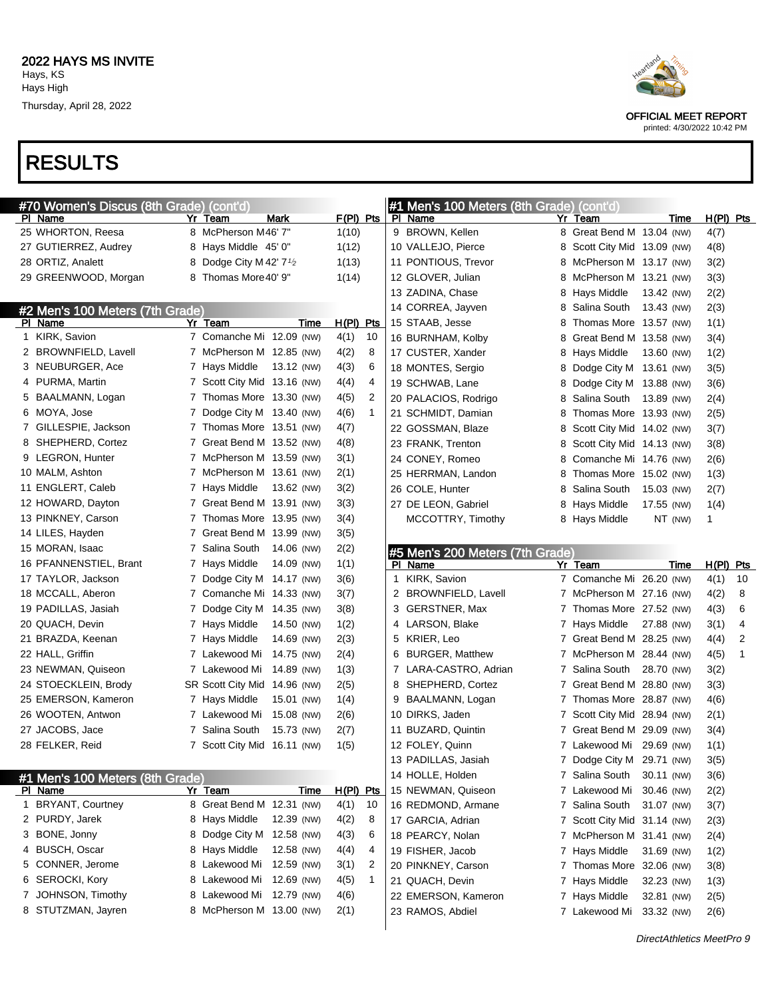

OFFICIAL MEET REPORT printed: 4/30/2022 10:42 PM

| #70 Women's Discus (8th Grade) (cont'd) |    |                                      |             |             |              |   | #1 Men's 100 Meters (8th Grade) (cont'd) |   |                             |            |         |             |    |
|-----------------------------------------|----|--------------------------------------|-------------|-------------|--------------|---|------------------------------------------|---|-----------------------------|------------|---------|-------------|----|
| PI Name                                 | Yr | Team                                 | <b>Mark</b> | $F(PI)$ Pts |              |   | PI Name                                  |   | Yr Team                     |            | Time    | $H(PI)$ Pts |    |
| 25 WHORTON, Reesa                       |    | 8 McPherson M46' 7"                  |             | 1(10)       |              |   | 9 BROWN, Kellen                          |   | 8 Great Bend M 13.04 (NW)   |            |         | 4(7)        |    |
| 27 GUTIERREZ, Audrey                    |    | 8 Hays Middle 45' 0"                 |             | 1(12)       |              |   | 10 VALLEJO, Pierce                       |   | 8 Scott City Mid 13.09 (NW) |            |         | 4(8)        |    |
| 28 ORTIZ, Analett                       |    | 8 Dodge City M 42' 7 <sup>1</sup> /2 |             | 1(13)       |              |   | 11 PONTIOUS, Trevor                      |   | 8 McPherson M 13.17 (NW)    |            |         | 3(2)        |    |
| 29 GREENWOOD, Morgan                    |    | 8 Thomas More 40' 9"                 |             | 1(14)       |              |   | 12 GLOVER, Julian                        |   | 8 McPherson M 13.21 (NW)    |            |         | 3(3)        |    |
|                                         |    |                                      |             |             |              |   | 13 ZADINA, Chase                         |   | 8 Hays Middle               | 13.42 (NW) |         | 2(2)        |    |
| #2 Men's 100 Meters (7th Grade)         |    |                                      |             |             |              |   | 14 CORREA, Jayven                        | 8 | Salina South                | 13.43 (NW) |         | 2(3)        |    |
| PI Name                                 |    | Yr Team                              | Time        | $H(PI)$ Pts |              |   | 15 STAAB, Jesse                          |   | Thomas More 13.57 (NW)      |            |         | 1(1)        |    |
| 1 KIRK, Savion                          |    | 7 Comanche Mi 12.09 (NW)             |             | 4(1)        | 10           |   | 16 BURNHAM, Kolby                        | 8 | Great Bend M 13.58 (NW)     |            |         | 3(4)        |    |
| 2 BROWNFIELD, Lavell                    |    | 7 McPherson M 12.85 (NW)             |             | 4(2)        | 8            |   | 17 CUSTER, Xander                        | 8 | Hays Middle                 | 13.60 (NW) |         | 1(2)        |    |
| 3 NEUBURGER, Ace                        |    | 7 Hays Middle                        | 13.12 (NW)  | 4(3)        | 6            |   | 18 MONTES, Sergio                        | 8 | Dodge City M 13.61 (NW)     |            |         | 3(5)        |    |
| 4 PURMA, Martin                         |    | 7 Scott City Mid 13.16 (NW)          |             | 4(4)        | 4            |   | 19 SCHWAB, Lane                          | 8 | Dodge City M 13.88 (NW)     |            |         | 3(6)        |    |
| 5 BAALMANN, Logan                       |    | 7 Thomas More 13.30 (NW)             |             | 4(5)        | 2            |   | 20 PALACIOS, Rodrigo                     | 8 | Salina South 13.89 (NW)     |            |         | 2(4)        |    |
| 6 MOYA, Jose                            |    | 7 Dodge City M 13.40 (NW)            |             | 4(6)        | $\mathbf{1}$ |   | 21 SCHMIDT, Damian                       | 8 | Thomas More 13.93 (NW)      |            |         | 2(5)        |    |
| 7 GILLESPIE, Jackson                    |    | 7 Thomas More 13.51 (NW)             |             | 4(7)        |              |   | 22 GOSSMAN, Blaze                        | 8 | Scott City Mid 14.02 (NW)   |            |         | 3(7)        |    |
| 8 SHEPHERD, Cortez                      |    | 7 Great Bend M 13.52 (NW)            |             | 4(8)        |              |   | 23 FRANK, Trenton                        | 8 | Scott City Mid 14.13 (NW)   |            |         | 3(8)        |    |
| 9 LEGRON, Hunter                        |    | 7 McPherson M 13.59 (NW)             |             | 3(1)        |              |   | 24 CONEY, Romeo                          | 8 | Comanche Mi 14.76 (NW)      |            |         | 2(6)        |    |
| 10 MALM, Ashton                         |    | 7 McPherson M 13.61 (NW)             |             | 2(1)        |              |   | 25 HERRMAN, Landon                       | 8 | Thomas More 15.02 (NW)      |            |         | 1(3)        |    |
| 11 ENGLERT, Caleb                       |    | 7 Hays Middle                        | 13.62 (NW)  | 3(2)        |              |   | 26 COLE, Hunter                          | 8 | Salina South                | 15.03 (NW) |         | 2(7)        |    |
| 12 HOWARD, Dayton                       |    | 7 Great Bend M 13.91 (NW)            |             | 3(3)        |              |   | 27 DE LEON, Gabriel                      |   | 8 Hays Middle               | 17.55 (NW) |         | 1(4)        |    |
| 13 PINKNEY, Carson                      |    | 7 Thomas More 13.95 (NW)             |             | 3(4)        |              |   | MCCOTTRY, Timothy                        |   | 8 Hays Middle               |            | NT (NW) | 1           |    |
| 14 LILES, Hayden                        |    | 7 Great Bend M 13.99 (NW)            |             | 3(5)        |              |   |                                          |   |                             |            |         |             |    |
| 15 MORAN, Isaac                         |    | 7 Salina South                       | 14.06 (NW)  | 2(2)        |              |   | #5 Men's 200 Meters (7th Grade)          |   |                             |            |         |             |    |
| 16 PFANNENSTIEL, Brant                  |    | 7 Hays Middle                        | 14.09 (NW)  | 1(1)        |              |   | PI Name                                  |   | Yr Team                     |            | Time    | $H(PI)$ Pts |    |
| 17 TAYLOR, Jackson                      |    | 7 Dodge City M 14.17 (NW)            |             | 3(6)        |              |   | 1 KIRK, Savion                           |   | 7 Comanche Mi 26.20 (NW)    |            |         | 4(1)        | 10 |
| 18 MCCALL, Aberon                       |    | 7 Comanche Mi 14.33 (NW)             |             | 3(7)        |              |   | 2 BROWNFIELD, Lavell                     |   | 7 McPherson M 27.16 (NW)    |            |         | 4(2)        | 8  |
| 19 PADILLAS, Jasiah                     |    | 7 Dodge City M 14.35 (NW)            |             | 3(8)        |              |   | 3 GERSTNER, Max                          |   | 7 Thomas More 27.52 (NW)    |            |         | 4(3)        | 6  |
| 20 QUACH, Devin                         |    | 7 Hays Middle                        | 14.50 (NW)  | 1(2)        |              |   | 4 LARSON, Blake                          |   | 7 Hays Middle               | 27.88 (NW) |         | 3(1)        | 4  |
| 21 BRAZDA, Keenan                       |    | 7 Hays Middle                        | 14.69 (NW)  | 2(3)        |              |   | 5 KRIER, Leo                             |   | 7 Great Bend M 28.25 (NW)   |            |         | 4(4)        | 2  |
| 22 HALL, Griffin                        |    | 7 Lakewood Mi                        | 14.75 (NW)  | 2(4)        |              | 6 | <b>BURGER, Matthew</b>                   |   | 7 McPherson M 28.44 (NW)    |            |         | 4(5)        | 1  |
| 23 NEWMAN, Quiseon                      |    | 7 Lakewood Mi                        | 14.89 (NW)  | 1(3)        |              |   | 7 LARA-CASTRO, Adrian                    |   | 7 Salina South 28.70 (NW)   |            |         | 3(2)        |    |
| 24 STOECKLEIN, Brody                    |    | SR Scott City Mid 14.96 (NW)         |             | 2(5)        |              |   | 8 SHEPHERD, Cortez                       |   | 7 Great Bend M 28.80 (NW)   |            |         | 3(3)        |    |
| 25 EMERSON, Kameron                     |    | 7 Hays Middle                        | 15.01 (NW)  | 1(4)        |              | 9 | BAALMANN, Logan                          |   | 7 Thomas More 28.87 (NW)    |            |         | 4(6)        |    |
| 26 WOOTEN, Antwon                       |    | 7 Lakewood Mi                        | 15.08 (NW)  | 2(6)        |              |   | 10 DIRKS, Jaden                          |   | 7 Scott City Mid 28.94 (NW) |            |         | 2(1)        |    |
| 27 JACOBS, Jace                         |    | 7 Salina South                       | 15.73 (NW)  | 2(7)        |              |   | 11 BUZARD, Quintin                       |   | 7 Great Bend M 29.09 (NW)   |            |         | 3(4)        |    |
| 28 FELKER, Reid                         |    | 7 Scott City Mid 16.11 (NW)          |             | 1(5)        |              |   | 12 FOLEY, Quinn                          |   | 7 Lakewood Mi 29.69 (NW)    |            |         | 1(1)        |    |
|                                         |    |                                      |             |             |              |   | 13 PADILLAS, Jasiah                      |   | 7 Dodge City M 29.71 (NW)   |            |         | 3(5)        |    |
| #1 Men's 100 Meters (8th Grade)         |    |                                      |             |             |              |   | 14 HOLLE, Holden                         |   | 7 Salina South              | 30.11 (NW) |         | 3(6)        |    |
| PI Name                                 |    | Yr Team                              | Time        | H(PI) Pts   |              |   | 15 NEWMAN, Quiseon                       |   | 7 Lakewood Mi               | 30.46 (NW) |         | 2(2)        |    |
| 1 BRYANT, Courtney                      |    | 8 Great Bend M 12.31 (NW)            |             | 4(1)        | 10           |   | 16 REDMOND, Armane                       |   | 7 Salina South              | 31.07 (NW) |         | 3(7)        |    |
| 2 PURDY, Jarek                          |    | 8 Hays Middle                        | 12.39 (NW)  | 4(2)        | 8            |   | 17 GARCIA, Adrian                        |   | 7 Scott City Mid 31.14 (NW) |            |         | 2(3)        |    |
| 3 BONE, Jonny                           |    | 8 Dodge City M                       | 12.58 (NW)  | 4(3)        | 6            |   | 18 PEARCY, Nolan                         |   | 7 McPherson M 31.41 (NW)    |            |         | 2(4)        |    |
| 4 BUSCH, Oscar                          |    | 8 Hays Middle                        | 12.58 (NW)  | 4(4)        | 4            |   | 19 FISHER, Jacob                         |   | 7 Hays Middle               | 31.69 (NW) |         | 1(2)        |    |
| 5 CONNER, Jerome                        |    | 8 Lakewood Mi                        | 12.59 (NW)  | 3(1)        | 2            |   | 20 PINKNEY, Carson                       |   | 7 Thomas More 32.06 (NW)    |            |         | 3(8)        |    |
| 6 SEROCKI, Kory                         |    | 8 Lakewood Mi                        | 12.69 (NW)  | 4(5)        | $\mathbf{1}$ |   | 21 QUACH, Devin                          |   | 7 Hays Middle               | 32.23 (NW) |         | 1(3)        |    |
| 7 JOHNSON, Timothy                      |    | 8 Lakewood Mi                        | 12.79 (NW)  | 4(6)        |              |   | 22 EMERSON, Kameron                      |   | 7 Hays Middle               | 32.81 (NW) |         | 2(5)        |    |
| 8 STUTZMAN, Jayren                      |    | 8 McPherson M 13.00 (NW)             |             | 2(1)        |              |   | 23 RAMOS, Abdiel                         |   | 7 Lakewood Mi               | 33.32 (NW) |         | 2(6)        |    |
|                                         |    |                                      |             |             |              |   |                                          |   |                             |            |         |             |    |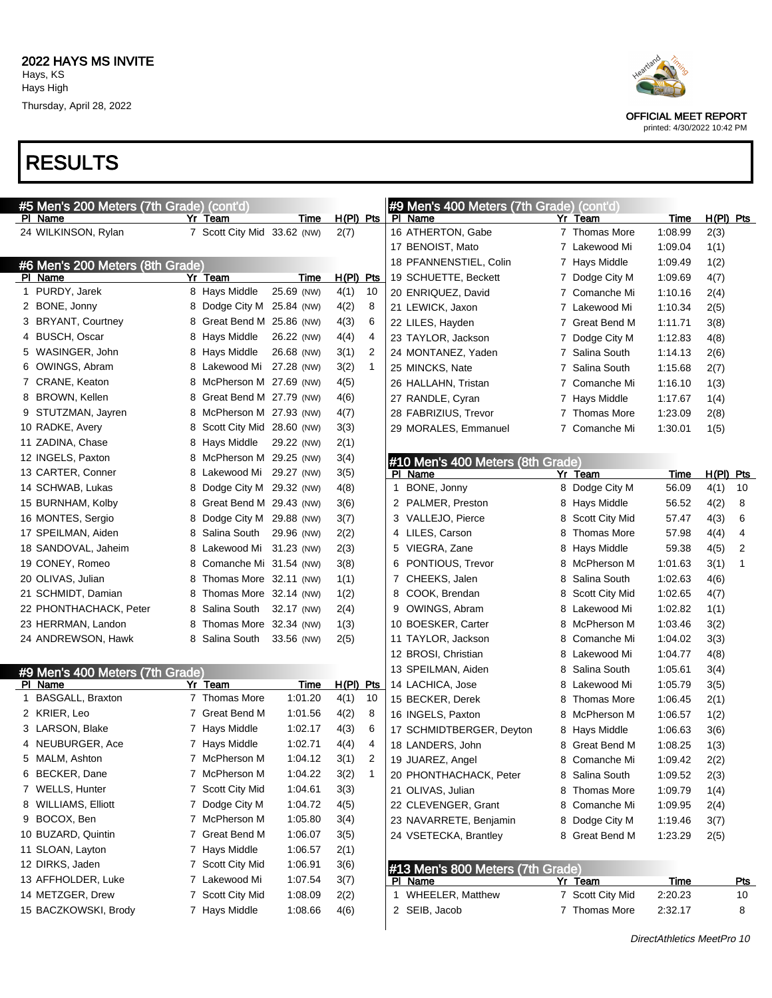

#### printed: 4/30/2022 10:42 PM

|   | #5 Men's 200 Meters (7th Grade) (cont'd) |    |                             |            |              |              |   | #9 Men's 400 Meters (7th Grade) (cont'd) |                |                                  |                        |             |                  |
|---|------------------------------------------|----|-----------------------------|------------|--------------|--------------|---|------------------------------------------|----------------|----------------------------------|------------------------|-------------|------------------|
|   | PI Name                                  | Yr | Team                        | Time       | $H(PI)$ Pts  |              |   | PI Name                                  |                | Yr Team                          | Time                   | $H(PI)$ Pts |                  |
|   | 24 WILKINSON, Rylan                      |    | 7 Scott City Mid 33.62 (NW) |            | 2(7)         |              |   | 16 ATHERTON, Gabe                        |                | 7 Thomas More                    | 1:08.99                | 2(3)        |                  |
|   |                                          |    |                             |            |              |              |   | 17 BENOIST, Mato                         |                | 7 Lakewood Mi                    | 1:09.04                | 1(1)        |                  |
|   | #6 Men's 200 Meters (8th Grade)          |    |                             |            |              |              |   | 18 PFANNENSTIEL, Colin                   |                | 7 Hays Middle                    | 1:09.49                | 1(2)        |                  |
|   | PI Name                                  |    | Yr Team                     | Time       | $H(PI)$ Pts  |              |   | 19 SCHUETTE, Beckett                     | 7              | Dodge City M                     | 1:09.69                | 4(7)        |                  |
| 1 | PURDY, Jarek                             |    | 8 Hays Middle               | 25.69 (NW) | 4(1)         | 10           |   | 20 ENRIQUEZ, David                       | 7              | Comanche Mi                      | 1:10.16                | 2(4)        |                  |
|   | 2 BONE, Jonny                            |    | 8 Dodge City M 25.84 (NW)   |            | 4(2)         | 8            |   | 21 LEWICK, Jaxon                         | 7              | Lakewood Mi                      | 1:10.34                | 2(5)        |                  |
|   | 3 BRYANT, Courtney                       |    | 8 Great Bend M 25.86 (NW)   |            | 4(3)         | 6            |   | 22 LILES, Hayden                         | 7              | Great Bend M                     | 1:11.71                | 3(8)        |                  |
|   | 4 BUSCH, Oscar                           |    | 8 Hays Middle               | 26.22 (NW) | 4(4)         | 4            |   | 23 TAYLOR, Jackson                       | 7              | Dodge City M                     | 1:12.83                | 4(8)        |                  |
|   | 5 WASINGER, John                         |    | 8 Hays Middle               | 26.68 (NW) | 3(1)         | 2            |   | 24 MONTANEZ, Yaden                       | 7              | Salina South                     | 1:14.13                | 2(6)        |                  |
|   | 6 OWINGS, Abram                          |    | 8 Lakewood Mi               | 27.28 (NW) | 3(2)         | $\mathbf{1}$ |   | 25 MINCKS, Nate                          | 7              | Salina South                     | 1:15.68                | 2(7)        |                  |
|   | 7 CRANE, Keaton                          |    | 8 McPherson M 27.69 (NW)    |            | 4(5)         |              |   | 26 HALLAHN, Tristan                      | 7              | Comanche Mi                      | 1:16.10                | 1(3)        |                  |
|   | 8 BROWN, Kellen                          |    | 8 Great Bend M 27.79 (NW)   |            | 4(6)         |              |   | 27 RANDLE, Cyran                         | 7              | Hays Middle                      | 1:17.67                | 1(4)        |                  |
|   | 9 STUTZMAN, Jayren                       |    | 8 McPherson M 27.93 (NW)    |            | 4(7)         |              |   | 28 FABRIZIUS, Trevor                     | 7              | Thomas More                      | 1:23.09                | 2(8)        |                  |
|   | 10 RADKE, Avery                          |    | 8 Scott City Mid 28.60 (NW) |            | 3(3)         |              |   | 29 MORALES, Emmanuel                     | $\overline{7}$ | Comanche Mi                      | 1:30.01                | 1(5)        |                  |
|   | 11 ZADINA, Chase                         |    | 8 Hays Middle               | 29.22 (NW) | 2(1)         |              |   |                                          |                |                                  |                        |             |                  |
|   | 12 INGELS, Paxton                        |    | 8 McPherson M 29.25 (NW)    |            | 3(4)         |              |   | #10 Men's 400 Meters (8th Grade)         |                |                                  |                        |             |                  |
|   | 13 CARTER, Conner                        |    | 8 Lakewood Mi               | 29.27 (NW) | 3(5)         |              |   | PI Name                                  |                | Yr Team                          | Time                   | $H(PI)$ Pts |                  |
|   | 14 SCHWAB, Lukas                         |    | 8 Dodge City M 29.32 (NW)   |            | 4(8)         |              | 1 | BONE, Jonny                              |                | 8 Dodge City M                   | 56.09                  | 4(1)        | 10               |
|   | 15 BURNHAM, Kolby                        |    | 8 Great Bend M 29.43 (NW)   |            | 3(6)         |              |   | 2 PALMER, Preston                        | 8              | Hays Middle                      | 56.52                  | 4(2)        | 8                |
|   | 16 MONTES, Sergio                        | 8  | Dodge City M 29.88 (NW)     |            | 3(7)         |              |   | 3 VALLEJO, Pierce                        | 8              | Scott City Mid                   | 57.47                  | 4(3)        | 6                |
|   | 17 SPEILMAN, Aiden                       |    | 8 Salina South              | 29.96 (NW) | 2(2)         |              |   | 4 LILES, Carson                          | 8              | <b>Thomas More</b>               | 57.98                  | 4(4)        | 4                |
|   | 18 SANDOVAL, Jaheim                      |    | 8 Lakewood Mi               | 31.23 (NW) | 2(3)         |              |   | 5 VIEGRA, Zane                           | 8              | Hays Middle                      | 59.38                  | 4(5)        | 2                |
|   | 19 CONEY, Romeo                          |    | 8 Comanche Mi 31.54 (NW)    |            | 3(8)         |              |   | 6 PONTIOUS, Trevor                       | 8              | McPherson M                      | 1:01.63                | 3(1)        | 1                |
|   | 20 OLIVAS, Julian                        |    | 8 Thomas More 32.11 (NW)    |            | 1(1)         |              | 7 | CHEEKS, Jalen                            | 8              | Salina South                     | 1:02.63                | 4(6)        |                  |
|   | 21 SCHMIDT, Damian                       | 8  | Thomas More 32.14 (NW)      |            | 1(2)         |              | 8 | COOK, Brendan                            | 8              | Scott City Mid                   | 1:02.65                | 4(7)        |                  |
|   | 22 PHONTHACHACK, Peter                   |    | 8 Salina South              | 32.17 (NW) | 2(4)         |              | 9 | OWINGS, Abram                            | 8              | Lakewood Mi                      | 1:02.82                | 1(1)        |                  |
|   | 23 HERRMAN, Landon                       | 8  | Thomas More 32.34 (NW)      |            | 1(3)         |              |   | 10 BOESKER, Carter                       | 8              | McPherson M                      | 1:03.46                | 3(2)        |                  |
|   | 24 ANDREWSON, Hawk                       |    | 8 Salina South              | 33.56 (NW) | 2(5)         |              |   | 11 TAYLOR, Jackson                       | 8              | Comanche Mi                      | 1:04.02                | 3(3)        |                  |
|   |                                          |    |                             |            |              |              |   | 12 BROSI, Christian                      | 8              | Lakewood Mi                      | 1:04.77                | 4(8)        |                  |
|   | #9 Men's 400 Meters (7th Grade)          |    |                             |            |              |              |   | 13 SPEILMAN, Aiden                       | 8              | Salina South                     | 1:05.61                | 3(4)        |                  |
|   | PI Name                                  |    | Yr Team                     | Time       | $H(PI)$ Pts  |              |   | 14 LACHICA, Jose                         | 8              | Lakewood Mi                      | 1:05.79                | 3(5)        |                  |
| 1 | BASGALL, Braxton                         |    | 7 Thomas More               | 1:01.20    | 4(1)         | 10           |   | 15 BECKER, Derek                         | 8              | <b>Thomas More</b>               | 1:06.45                | 2(1)        |                  |
|   | 2 KRIER, Leo                             |    | 7 Great Bend M              | 1:01.56    | 4(2)         | 8            |   | 16 INGELS, Paxton                        | 8              | McPherson M                      | 1:06.57                | 1(2)        |                  |
|   | 3 LARSON, Blake                          |    | 7 Hays Middle               | 1:02.17    | 4(3)         | 6            |   | 17 SCHMIDTBERGER, Deyton                 | 8              | Hays Middle                      | 1:06.63                | 3(6)        |                  |
|   | 4 NEUBURGER, Ace                         |    | 7 Hays Middle               | 1:02.71    | 4(4)         | 4            |   | 18 LANDERS, John                         | 8.             | Great Bend M                     | 1:08.25                | 1(3)        |                  |
|   | 5 MALM, Ashton                           |    | 7 McPherson M               | 1:04.12    | 3(1)         | 2            |   | 19 JUAREZ, Angel                         |                | 8 Comanche Mi                    | 1:09.42                | 2(2)        |                  |
|   | 6 BECKER, Dane                           |    | 7 McPherson M               | 1:04.22    | 3(2)         | $\mathbf{1}$ |   | 20 PHONTHACHACK, Peter                   |                | 8 Salina South                   | 1:09.52                | 2(3)        |                  |
|   | 7 WELLS, Hunter                          |    | 7 Scott City Mid            | 1:04.61    | 3(3)         |              |   | 21 OLIVAS, Julian                        |                | 8 Thomas More                    | 1:09.79                | 1(4)        |                  |
|   | 8 WILLIAMS, Elliott                      |    | 7 Dodge City M              | 1:04.72    | 4(5)         |              |   | 22 CLEVENGER, Grant                      |                | 8 Comanche Mi                    | 1:09.95                |             |                  |
|   | 9 BOCOX, Ben                             |    | 7 McPherson M               | 1:05.80    | 3(4)         |              |   |                                          |                |                                  |                        | 2(4)        |                  |
|   | 10 BUZARD, Quintin                       |    | 7 Great Bend M              | 1:06.07    | 3(5)         |              |   | 23 NAVARRETE, Benjamin                   |                | 8 Dodge City M<br>8 Great Bend M | 1:19.46                | 3(7)        |                  |
|   | 11 SLOAN, Layton                         |    | 7 Hays Middle               | 1:06.57    |              |              |   | 24 VSETECKA, Brantley                    |                |                                  | 1:23.29                | 2(5)        |                  |
|   | 12 DIRKS, Jaden                          |    | 7 Scott City Mid            | 1:06.91    | 2(1)         |              |   |                                          |                |                                  |                        |             |                  |
|   | 13 AFFHOLDER, Luke                       |    | 7 Lakewood Mi               | 1:07.54    | 3(6)         |              |   | #13 Men's 800 Meters (7th Grade)         |                |                                  |                        |             |                  |
|   | 14 METZGER, Drew                         |    | 7 Scott City Mid            | 1:08.09    | 3(7)         |              |   | PI Name<br>1 WHEELER, Matthew            |                | Yr Team<br>7 Scott City Mid      | <u>Time</u><br>2:20.23 |             | <u>Pts</u><br>10 |
|   | 15 BACZKOWSKI, Brody                     |    | 7 Hays Middle               | 1:08.66    | 2(2)<br>4(6) |              |   | 2 SEIB, Jacob                            |                | 7 Thomas More                    | 2:32.17                |             | 8                |
|   |                                          |    |                             |            |              |              |   |                                          |                |                                  |                        |             |                  |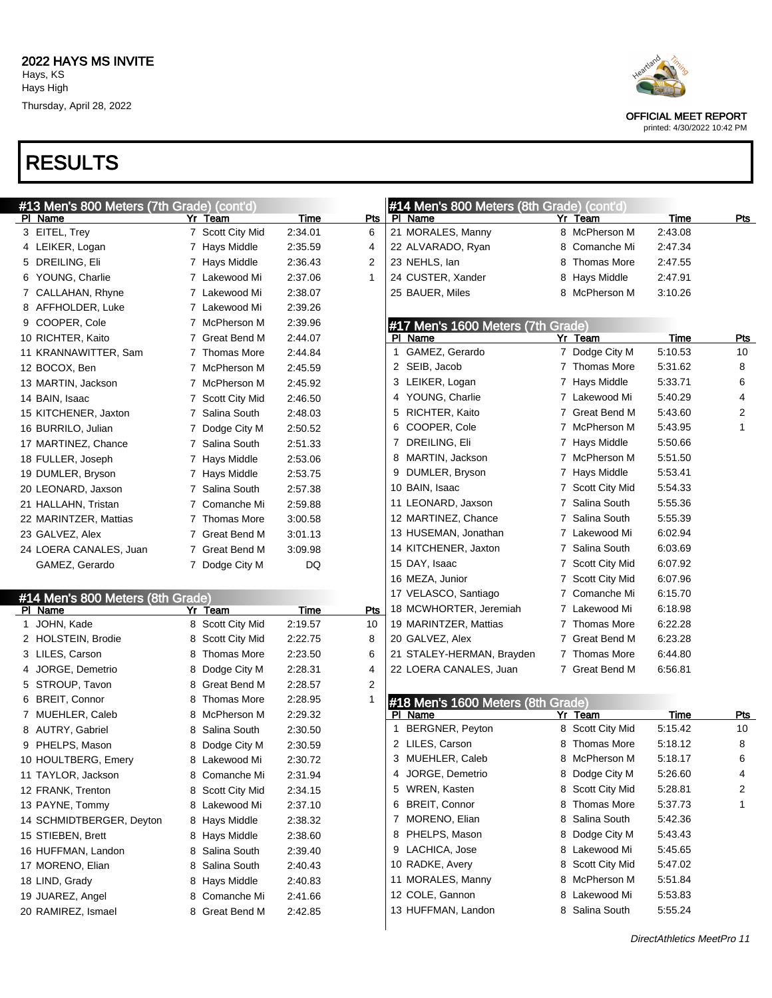# RESULTS

| #13 Men's 800 Meters (7th Grade) (cont'd) |                                    |                    |              | #14 Men's 800 Meters (8th Grade) (cont'd)    |                         |                    |            |
|-------------------------------------------|------------------------------------|--------------------|--------------|----------------------------------------------|-------------------------|--------------------|------------|
| PI Name                                   | Yr Team                            | Time               | Pts          | PI Name                                      | Yr Team                 | Time               | <u>Pts</u> |
| 3 EITEL, Trey                             | 7 Scott City Mid                   | 2:34.01            | 6            | 21 MORALES, Manny                            | 8 McPherson M           | 2:43.08            |            |
| 4 LEIKER, Logan                           | 7 Hays Middle                      | 2:35.59            | 4            | 22 ALVARADO, Ryan                            | 8 Comanche Mi           | 2:47.34            |            |
| 5 DREILING, Eli                           | 7 Hays Middle                      | 2:36.43            | 2            | 23 NEHLS, lan                                | <b>Thomas More</b><br>8 | 2:47.55            |            |
| 6 YOUNG, Charlie                          | 7 Lakewood Mi                      | 2:37.06            | $\mathbf{1}$ | 24 CUSTER, Xander                            | 8 Hays Middle           | 2:47.91            |            |
| 7 CALLAHAN, Rhyne                         | 7 Lakewood Mi                      | 2:38.07            |              | 25 BAUER, Miles                              | 8 McPherson M           | 3:10.26            |            |
| 8 AFFHOLDER, Luke                         | 7 Lakewood Mi                      | 2:39.26            |              |                                              |                         |                    |            |
| 9 COOPER, Cole                            | 7 McPherson M                      | 2:39.96            |              | #17 Men's 1600 Meters (7th Grade)            |                         |                    |            |
| 10 RICHTER, Kaito                         | 7 Great Bend M                     | 2:44.07            |              | PI Name                                      | Yr Team                 | Time               | Pts        |
| 11 KRANNAWITTER, Sam                      | 7 Thomas More                      | 2:44.84            |              | GAMEZ, Gerardo<br>1                          | 7 Dodge City M          | 5:10.53            | 10         |
| 12 BOCOX, Ben                             | 7 McPherson M                      | 2:45.59            |              | 2 SEIB, Jacob                                | 7 Thomas More           | 5:31.62            | 8          |
| 13 MARTIN, Jackson                        | 7 McPherson M                      | 2:45.92            |              | 3 LEIKER, Logan                              | 7 Hays Middle           | 5:33.71            | 6          |
| 14 BAIN, Isaac                            | 7 Scott City Mid                   | 2:46.50            |              | 4 YOUNG, Charlie                             | 7 Lakewood Mi           | 5:40.29            | 4          |
| 15 KITCHENER, Jaxton                      | 7 Salina South                     | 2:48.03            |              | 5 RICHTER, Kaito                             | Great Bend M            | 5:43.60            | 2          |
| 16 BURRILO, Julian                        | 7 Dodge City M                     | 2:50.52            |              | 6 COOPER, Cole                               | 7 McPherson M           | 5:43.95            | 1          |
| 17 MARTINEZ, Chance                       | 7 Salina South                     | 2:51.33            |              | 7 DREILING, Eli                              | 7 Hays Middle           | 5:50.66            |            |
| 18 FULLER, Joseph                         | 7 Hays Middle                      | 2.53.06            |              | 8 MARTIN, Jackson                            | 7 McPherson M           | 5:51.50            |            |
| 19 DUMLER, Bryson                         | 7 Hays Middle                      | 2:53.75            |              | 9 DUMLER, Bryson                             | 7 Hays Middle           | 5:53.41            |            |
| 20 LEONARD, Jaxson                        | 7 Salina South                     | 2:57.38            |              | 10 BAIN, Isaac                               | 7 Scott City Mid        | 5:54.33            |            |
| 21 HALLAHN, Tristan                       | 7 Comanche Mi                      | 2:59.88            |              | 11 LEONARD, Jaxson                           | 7 Salina South          | 5:55.36            |            |
| 22 MARINTZER, Mattias                     | 7 Thomas More                      | 3:00.58            |              | 12 MARTINEZ, Chance                          | 7 Salina South          | 5:55.39            |            |
| 23 GALVEZ, Alex                           | 7 Great Bend M                     | 3:01.13            |              | 13 HUSEMAN, Jonathan                         | 7 Lakewood Mi           | 6:02.94            |            |
| 24 LOERA CANALES, Juan                    | 7 Great Bend M                     | 3:09.98            |              | 14 KITCHENER, Jaxton                         | 7 Salina South          | 6:03.69            |            |
| GAMEZ, Gerardo                            | 7 Dodge City M                     | DQ                 |              | 15 DAY, Isaac                                | 7 Scott City Mid        | 6:07.92            |            |
|                                           |                                    |                    |              | 16 MEZA, Junior                              | 7 Scott City Mid        | 6:07.96            |            |
| #14 Men's 800 Meters (8th Grade)          |                                    |                    |              | 17 VELASCO, Santiago                         | 7 Comanche Mi           | 6:15.70            |            |
| PI Name                                   | Yr Team                            | <b>Time</b>        | Pts          | 18 MCWHORTER, Jeremiah                       | 7 Lakewood Mi           | 6:18.98            |            |
| 1 JOHN, Kade                              | 8 Scott City Mid                   | 2:19.57            | 10           | 19 MARINTZER, Mattias                        | 7 Thomas More           | 6:22.28            |            |
| 2 HOLSTEIN, Brodie                        | 8 Scott City Mid                   | 2:22.75            | 8            | 20 GALVEZ, Alex                              | 7 Great Bend M          | 6:23.28            |            |
| 3 LILES, Carson                           | 8 Thomas More                      | 2:23.50            | 6            | 21 STALEY-HERMAN, Brayden                    | 7 Thomas More           | 6:44.80            |            |
| 4 JORGE, Demetrio                         | 8 Dodge City M                     | 2:28.31            | 4            | 22 LOERA CANALES, Juan                       | 7 Great Bend M          | 6:56.81            |            |
| 5 STROUP, Tavon                           | 8 Great Bend M                     | 2:28.57            | 2            |                                              |                         |                    |            |
| 6 BREIT, Connor                           |                                    | 2:28.95            | 1            |                                              |                         |                    |            |
|                                           | 8 Thomas More                      |                    |              |                                              |                         |                    |            |
| 7 MUEHLER, Caleb                          | 8 McPherson M                      | 2:29.32            |              | #18 Men's 1600 Meters (8th Grade)<br>PI Name | Yr Team                 | Time               | <u>Pts</u> |
| 8 AUTRY, Gabriel                          | 8 Salina South                     | 2:30.50            |              | BERGNER, Peyton<br>1                         | 8 Scott City Mid        | 5:15.42            | 10         |
|                                           |                                    | 2:30.59            |              | 2 LILES, Carson                              | 8 Thomas More           | 5:18.12            | 8          |
| 9 PHELPS, Mason                           | 8 Dodge City M<br>8<br>Lakewood Mi |                    |              | 3 MUEHLER, Caleb                             | 8 McPherson M           | 5:18.17            | 6          |
| 10 HOULTBERG, Emery<br>11 TAYLOR, Jackson | 8 Comanche Mi                      | 2:30.72<br>2:31.94 |              | 4 JORGE, Demetrio                            | Dodge City M<br>8       | 5:26.60            | 4          |
| 12 FRANK, Trenton                         | 8 Scott City Mid                   |                    |              | 5 WREN, Kasten                               | Scott City Mid<br>8     | 5:28.81            | 2          |
| 13 PAYNE, Tommy                           | 8 Lakewood Mi                      | 2:34.15            |              | 6 BREIT, Connor                              | 8<br>Thomas More        | 5:37.73            | 1          |
| 14 SCHMIDTBERGER, Deyton                  |                                    | 2:37.10            |              | 7 MORENO, Elian                              | Salina South<br>8       | 5:42.36            |            |
|                                           | 8 Hays Middle                      | 2:38.32            |              | 8 PHELPS, Mason                              | Dodge City M<br>8       | 5:43.43            |            |
| 15 STIEBEN, Brett                         | 8 Hays Middle                      | 2:38.60            |              | 9 LACHICA, Jose                              | Lakewood Mi<br>8.       | 5:45.65            |            |
| 16 HUFFMAN, Landon                        | 8 Salina South                     | 2:39.40            |              | 10 RADKE, Avery                              | 8<br>Scott City Mid     | 5:47.02            |            |
| 17 MORENO, Elian                          | 8 Salina South                     | 2:40.43            |              | 11 MORALES, Manny                            | McPherson M<br>8        |                    |            |
| 18 LIND, Grady                            | 8 Hays Middle                      | 2:40.83            |              | 12 COLE, Gannon                              | Lakewood Mi<br>8        | 5:51.84<br>5:53.83 |            |
| 19 JUAREZ, Angel<br>20 RAMIREZ, Ismael    | 8 Comanche Mi<br>8 Great Bend M    | 2:41.66<br>2:42.85 |              | 13 HUFFMAN, Landon                           | 8<br>Salina South       | 5:55.24            |            |



OFFICIAL MEET REPORT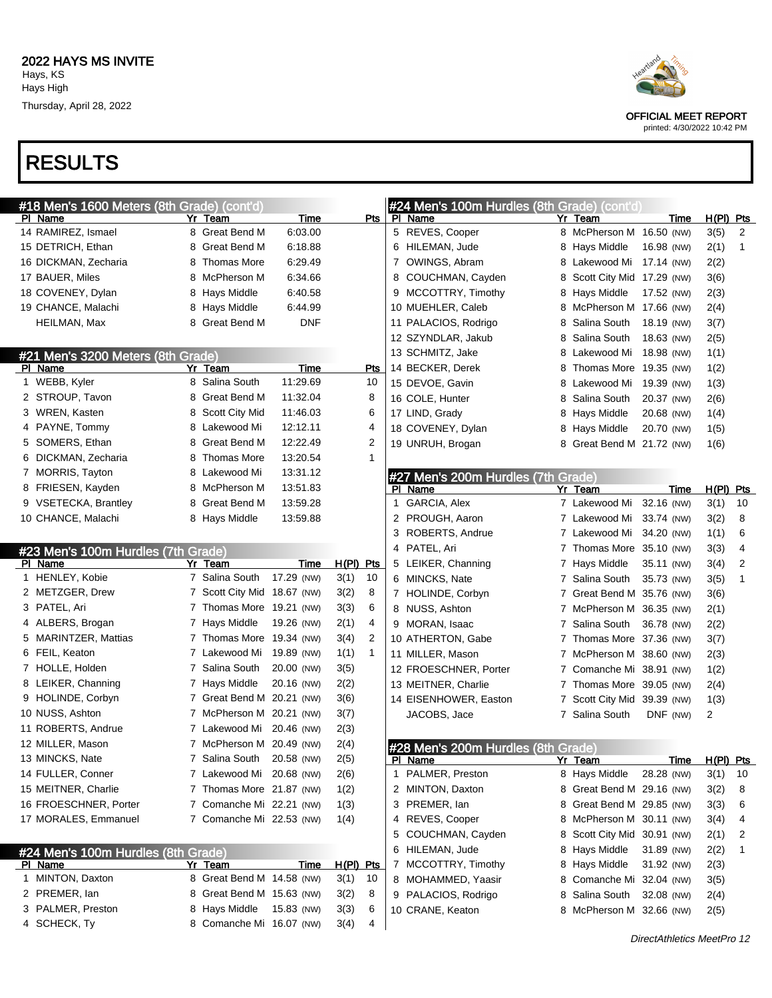

| #18 Men's 1600 Meters (8th Grade) (cont'd)           |                             |             |             |              |              | #24 Men's 100m Hurdles (8th Grade) (cont'd)          |    |                             |            |             |                        |    |
|------------------------------------------------------|-----------------------------|-------------|-------------|--------------|--------------|------------------------------------------------------|----|-----------------------------|------------|-------------|------------------------|----|
| PI Name                                              | Yr Team                     | Time        |             | Pts          |              | PI Name                                              |    | Yr Team                     |            | Time        | $H(PI)$ Pts            |    |
| 14 RAMIREZ, Ismael                                   | 8 Great Bend M              | 6:03.00     |             |              |              | 5 REVES, Cooper                                      |    | 8 McPherson M 16.50 (NW)    |            |             | 3(5)                   | 2  |
| 15 DETRICH, Ethan                                    | 8 Great Bend M              | 6:18.88     |             |              |              | 6 HILEMAN, Jude                                      |    | 8 Hays Middle               | 16.98 (NW) |             | 2(1)                   | 1  |
| 16 DICKMAN, Zecharia                                 | 8 Thomas More               | 6:29.49     |             |              |              | 7 OWINGS, Abram                                      |    | 8 Lakewood Mi 17.14 (NW)    |            |             | 2(2)                   |    |
| 17 BAUER, Miles                                      | 8 McPherson M               | 6:34.66     |             |              |              | 8 COUCHMAN, Cayden                                   | 8. | Scott City Mid 17.29 (NW)   |            |             | 3(6)                   |    |
| 18 COVENEY, Dylan                                    | 8 Hays Middle               | 6:40.58     |             |              |              | 9 MCCOTTRY, Timothy                                  |    | 8 Hays Middle               | 17.52 (NW) |             | 2(3)                   |    |
| 19 CHANCE, Malachi                                   | 8 Hays Middle               | 6:44.99     |             |              |              | 10 MUEHLER, Caleb                                    |    | 8 McPherson M 17.66 (NW)    |            |             | 2(4)                   |    |
| HEILMAN, Max                                         | 8 Great Bend M              | <b>DNF</b>  |             |              |              | 11 PALACIOS, Rodrigo                                 |    | Salina South                | 18.19 (NW) |             | 3(7)                   |    |
|                                                      |                             |             |             |              |              | 12 SZYNDLAR, Jakub                                   |    | Salina South                | 18.63 (NW) |             | 2(5)                   |    |
| #21 Men's 3200 Meters (8th Grade)                    |                             |             |             |              |              | 13 SCHMITZ, Jake                                     |    | 8 Lakewood Mi               | 18.98 (NW) |             | 1(1)                   |    |
| PI Name                                              | Yr Team                     | <b>Time</b> |             | <b>Pts</b>   |              | 14 BECKER, Derek                                     | 8  | Thomas More 19.35 (NW)      |            |             | 1(2)                   |    |
| 1 WEBB, Kyler                                        | 8 Salina South              | 11:29.69    |             | 10           |              | 15 DEVOE, Gavin                                      |    | 8 Lakewood Mi 19.39 (NW)    |            |             | 1(3)                   |    |
| 2 STROUP, Tavon                                      | 8 Great Bend M              | 11:32.04    |             | 8            |              | 16 COLE, Hunter                                      | 8  | Salina South                | 20.37 (NW) |             | 2(6)                   |    |
| 3 WREN, Kasten                                       | 8 Scott City Mid            | 11:46.03    |             | 6            |              | 17 LIND, Grady                                       |    | 8 Hays Middle               | 20.68 (NW) |             | 1(4)                   |    |
| 4 PAYNE, Tommy                                       | 8 Lakewood Mi               | 12:12.11    |             | 4            |              | 18 COVENEY, Dylan                                    |    | 8 Hays Middle               | 20.70 (NW) |             | 1(5)                   |    |
| 5 SOMERS, Ethan                                      | 8 Great Bend M              | 12:22.49    |             | 2            |              | 19 UNRUH, Brogan                                     |    | 8 Great Bend M 21.72 (NW)   |            |             | 1(6)                   |    |
| 6 DICKMAN, Zecharia                                  | 8 Thomas More               | 13:20.54    |             | 1            |              |                                                      |    |                             |            |             |                        |    |
| 7 MORRIS, Tayton                                     | 8 Lakewood Mi               | 13:31.12    |             |              |              | #27 Men's 200m Hurdles (7th Grade)                   |    |                             |            |             |                        |    |
| 8 FRIESEN, Kayden                                    | 8 McPherson M               | 13:51.83    |             |              |              | PI Name                                              |    | Yr Team                     |            | Time        | H(PI) Pts              |    |
| 9 VSETECKA, Brantley                                 | 8 Great Bend M              | 13:59.28    |             |              | 1            | GARCIA, Alex                                         |    | 7 Lakewood Mi               | 32.16 (NW) |             | 3(1)                   | 10 |
| 10 CHANCE, Malachi                                   | 8 Hays Middle               | 13:59.88    |             |              |              | 2 PROUGH, Aaron                                      |    | 7 Lakewood Mi 33.74 (NW)    |            |             | 3(2)                   | 8  |
|                                                      |                             |             |             |              |              | 3 ROBERTS, Andrue                                    |    | 7 Lakewood Mi 34.20 (NW)    |            |             | 1(1)                   | 6  |
| #23 Men's 100m Hurdles (7th Grade)                   |                             |             |             |              |              | 4 PATEL, Ari                                         |    | 7 Thomas More 35.10 (NW)    |            |             | 3(3)                   | 4  |
| PI Name                                              | Yr Team                     | Time        | $H(PI)$ Pts |              |              | 5 LEIKER, Channing                                   |    | 7 Hays Middle               | 35.11 (NW) |             | 3(4)                   | 2  |
| 1 HENLEY, Kobie                                      | 7 Salina South              | 17.29 (NW)  | 3(1)        | 10           |              | 6 MINCKS, Nate                                       |    | Salina South                | 35.73 (NW) |             | 3(5)                   | 1  |
| 2 METZGER, Drew                                      | 7 Scott City Mid 18.67 (NW) |             | 3(2)        | 8            |              | 7 HOLINDE, Corbyn                                    |    | Great Bend M 35.76 (NW)     |            |             | 3(6)                   |    |
| 3 PATEL, Ari                                         | 7 Thomas More 19.21 (NW)    |             | 3(3)        | 6            |              | 8 NUSS, Ashton                                       |    | McPherson M 36.35 (NW)      |            |             | 2(1)                   |    |
| 4 ALBERS, Brogan                                     | 7 Hays Middle               | 19.26 (NW)  | 2(1)        | 4            |              | 9 MORAN, Isaac                                       |    | Salina South                | 36.78 (NW) |             | 2(2)                   |    |
| 5 MARINTZER, Mattias                                 | 7 Thomas More 19.34 (NW)    |             | 3(4)        | 2            |              | 10 ATHERTON, Gabe                                    |    | Thomas More 37.36 (NW)      |            |             | 3(7)                   |    |
| 6 FEIL, Keaton                                       | 7 Lakewood Mi               | 19.89 (NW)  | 1(1)        | $\mathbf{1}$ |              | 11 MILLER, Mason                                     |    | McPherson M 38.60 (NW)      |            |             | 2(3)                   |    |
| 7 HOLLE, Holden                                      | 7 Salina South              | 20.00 (NW)  | 3(5)        |              |              | 12 FROESCHNER, Porter                                |    | Comanche Mi 38.91 (NW)      |            |             | 1(2)                   |    |
| 8 LEIKER, Channing                                   | 7 Hays Middle               |             |             |              |              |                                                      |    |                             |            |             |                        |    |
|                                                      |                             | 20.16 (NW)  | 2(2)        |              |              | 13 MEITNER, Charlie                                  |    | Thomas More 39.05 (NW)      |            |             |                        |    |
| 9 HOLINDE, Corbyn                                    | 7 Great Bend M 20.21 (NW)   |             | 3(6)        |              |              | 14 EISENHOWER, Easton                                |    | Scott City Mid 39.39 (NW)   |            |             | 2(4)                   |    |
| 10 NUSS, Ashton                                      | 7 McPherson M 20.21 (NW)    |             | 3(7)        |              |              |                                                      |    | 7 Salina South              | DNF (NW)   |             | 1(3)<br>$\overline{a}$ |    |
| 11 ROBERTS, Andrue                                   | 7 Lakewood Mi 20.46 (NW)    |             | 2(3)        |              |              | JACOBS, Jace                                         |    |                             |            |             |                        |    |
| 12 MILLER, Mason                                     | 7 McPherson M 20.49 (NW)    |             | 2(4)        |              |              |                                                      |    |                             |            |             |                        |    |
| 13 MINCKS, Nate                                      | 7 Salina South 20.58 (NW)   |             | 2(5)        |              |              | #28 Men's 200m Hurdles (8th Grade)<br><u>ri Name</u> |    | <u>Yr Team</u>              |            |             |                        |    |
| 14 FULLER, Conner                                    | 7 Lakewood Mi 20.68 (NW)    |             | 2(6)        |              | $\mathbf{1}$ | PALMER, Preston                                      |    | 8 Hays Middle               | 28.28 (NW) | <u>Time</u> | $H(PI)$ Pts<br>3(1)    | 10 |
| 15 MEITNER, Charlie                                  | 7 Thomas More 21.87 (NW)    |             | 1(2)        |              |              | 2 MINTON, Daxton                                     |    | 8 Great Bend M 29.16 (NW)   |            |             |                        | 8  |
| 16 FROESCHNER, Porter                                | 7 Comanche Mi 22.21 (NW)    |             | 1(3)        |              |              | 3 PREMER, Ian                                        |    | 8 Great Bend M 29.85 (NW)   |            |             | 3(2)                   | 6  |
| 17 MORALES, Emmanuel                                 | 7 Comanche Mi 22.53 (NW)    |             | 1(4)        |              |              | 4 REVES, Cooper                                      |    | 8 McPherson M 30.11 (NW)    |            |             | 3(3)<br>3(4)           | 4  |
|                                                      |                             |             |             |              | 5            | COUCHMAN, Cayden                                     |    | 8 Scott City Mid 30.91 (NW) |            |             | 2(1)                   | 2  |
|                                                      |                             |             |             |              | 6            | HILEMAN, Jude                                        |    | 8 Hays Middle               | 31.89 (NW) |             | 2(2)                   | 1  |
| #24 Men's 100m Hurdles (8th Grade)<br><u>PI Name</u> | Yr Team                     | <b>Time</b> | H(PI) Pts   |              |              | 7 MCCOTTRY, Timothy                                  |    | 8 Hays Middle               | 31.92 (NW) |             | 2(3)                   |    |
| 1 MINTON, Daxton                                     | 8 Great Bend M 14.58 (NW)   |             | 3(1)        | 10           |              | 8 MOHAMMED, Yaasir                                   |    | 8 Comanche Mi 32.04 (NW)    |            |             |                        |    |
| 2 PREMER, lan                                        | 8 Great Bend M 15.63 (NW)   |             | 3(2)        | 8            |              | 9 PALACIOS, Rodrigo                                  |    | 8 Salina South              | 32.08 (NW) |             | 3(5)                   |    |
| 3 PALMER, Preston                                    | 8 Hays Middle               | 15.83 (NW)  | 3(3)        | 6            |              | 10 CRANE, Keaton                                     |    | 8 McPherson M 32.66 (NW)    |            |             | 2(4)<br>2(5)           |    |



printed: 4/30/2022 10:42 PM

DirectAthletics MeetPro 12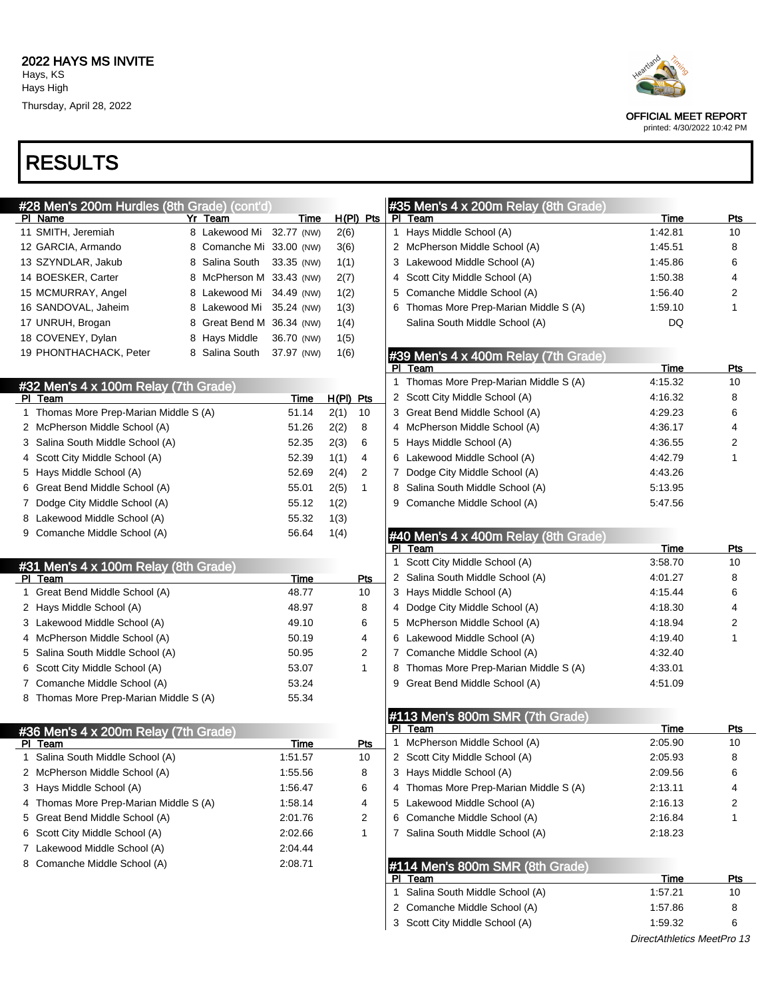# RESULTS

| #28 Men's 200m Hurdles (8th Grade) (cont'd)     |                           |            |             |              |   | #35 Men's 4 x 200m Relay (8th Grade)       |             |              |
|-------------------------------------------------|---------------------------|------------|-------------|--------------|---|--------------------------------------------|-------------|--------------|
| PI Name                                         | Yr Team                   | Time       |             | $H(PI)$ Pts  |   | PI Team                                    | <b>Time</b> | Pts          |
| 11 SMITH, Jeremiah                              | 8 Lakewood Mi 32.77 (NW)  |            | 2(6)        |              |   | 1 Hays Middle School (A)                   | 1:42.81     | 10           |
| 12 GARCIA, Armando                              | 8 Comanche Mi 33.00 (NW)  |            | 3(6)        |              |   | 2 McPherson Middle School (A)              | 1:45.51     | 8            |
| 13 SZYNDLAR, Jakub                              | 8 Salina South            | 33.35 (NW) | 1(1)        |              |   | 3 Lakewood Middle School (A)               | 1:45.86     | 6            |
| 14 BOESKER, Carter                              | 8 McPherson M 33.43 (NW)  |            | 2(7)        |              |   | 4 Scott City Middle School (A)             | 1:50.38     | 4            |
| 15 MCMURRAY, Angel                              | 8 Lakewood Mi 34.49 (NW)  |            | 1(2)        |              |   | 5 Comanche Middle School (A)               | 1:56.40     | 2            |
| 16 SANDOVAL, Jaheim                             | 8 Lakewood Mi 35.24 (NW)  |            | 1(3)        |              |   | 6 Thomas More Prep-Marian Middle S (A)     | 1:59.10     | $\mathbf{1}$ |
| 17 UNRUH, Brogan                                | 8 Great Bend M 36.34 (NW) |            | 1(4)        |              |   | Salina South Middle School (A)             | DQ          |              |
| 18 COVENEY, Dylan                               | 8 Hays Middle             | 36.70 (NW) | 1(5)        |              |   |                                            |             |              |
| 19 PHONTHACHACK, Peter                          | 8 Salina South            | 37.97 (NW) | 1(6)        |              |   | #39 Men's 4 x 400m Relay (7th Grade)       |             |              |
|                                                 |                           |            |             |              |   | PI Team                                    | Time        | Pts          |
| #32 Men's 4 x 100m Relay (7th Grade)            |                           |            |             |              |   | 1 Thomas More Prep-Marian Middle S (A)     | 4:15.32     | 10           |
| PI Team                                         |                           | Time       | $H(PI)$ Pts |              |   | 2 Scott City Middle School (A)             | 4:16.32     | 8            |
| 1 Thomas More Prep-Marian Middle S (A)          |                           | 51.14      | 2(1)        | 10           |   | 3 Great Bend Middle School (A)             | 4:29.23     | 6            |
| 2 McPherson Middle School (A)                   |                           | 51.26      | 2(2)        | 8            |   | 4 McPherson Middle School (A)              | 4:36.17     | 4            |
| 3 Salina South Middle School (A)                |                           | 52.35      | 2(3)        | 6            |   | 5 Hays Middle School (A)                   | 4:36.55     | 2            |
| 4 Scott City Middle School (A)                  |                           | 52.39      | 1(1)        | 4            |   | 6 Lakewood Middle School (A)               | 4:42.79     | 1            |
| 5 Hays Middle School (A)                        |                           | 52.69      | 2(4)        | 2            |   | 7 Dodge City Middle School (A)             | 4:43.26     |              |
| 6 Great Bend Middle School (A)                  |                           | 55.01      | 2(5)        | 1            |   | 8 Salina South Middle School (A)           | 5:13.95     |              |
| 7 Dodge City Middle School (A)                  |                           | 55.12      | 1(2)        |              |   | 9 Comanche Middle School (A)               | 5:47.56     |              |
| 8 Lakewood Middle School (A)                    |                           | 55.32      | 1(3)        |              |   |                                            |             |              |
| 9 Comanche Middle School (A)                    |                           | 56.64      | 1(4)        |              |   | #40 Men's 4 x 400m Relay (8th Grade)       |             |              |
|                                                 |                           |            |             |              |   | PI Team                                    | Time        | Pts          |
| #31 Men's 4 x 100m Relay (8th Grade)            |                           |            |             |              | 1 | Scott City Middle School (A)               | 3:58.70     | 10           |
| PI Team                                         |                           | Time       |             | Pts          |   | 2 Salina South Middle School (A)           | 4:01.27     | 8            |
| 1 Great Bend Middle School (A)                  |                           | 48.77      |             | 10           |   | 3 Hays Middle School (A)                   | 4:15.44     | 6            |
| 2 Hays Middle School (A)                        |                           | 48.97      |             | 8            |   | 4 Dodge City Middle School (A)             | 4:18.30     | 4            |
| 3 Lakewood Middle School (A)                    |                           | 49.10      |             | 6            |   | 5 McPherson Middle School (A)              | 4:18.94     | 2            |
| 4 McPherson Middle School (A)                   |                           | 50.19      |             | 4            |   | 6 Lakewood Middle School (A)               | 4:19.40     | 1            |
| 5 Salina South Middle School (A)                |                           | 50.95      |             | 2            |   | 7 Comanche Middle School (A)               | 4:32.40     |              |
| 6 Scott City Middle School (A)                  |                           | 53.07      |             | $\mathbf{1}$ |   | 8 Thomas More Prep-Marian Middle S (A)     | 4:33.01     |              |
| 7 Comanche Middle School (A)                    |                           | 53.24      |             |              |   | 9 Great Bend Middle School (A)             | 4:51.09     |              |
| 8 Thomas More Prep-Marian Middle S (A)          |                           | 55.34      |             |              |   |                                            |             |              |
|                                                 |                           |            |             |              |   |                                            |             |              |
|                                                 |                           |            |             |              |   | #113 Men's 800m SMR (7th Grade)<br>PI Team | <b>Time</b> | <u>Pts</u>   |
| #36 Men's 4 x 200m Relay (7th Grade)<br>PI Team |                           | Time       |             | <u>Pts</u>   |   | 1 McPherson Middle School (A)              | 2:05.90     | 10           |
| 1 Salina South Middle School (A)                |                           | 1:51.57    |             | 10           |   | 2 Scott City Middle School (A)             | 2:05.93     | 8            |
| 2 McPherson Middle School (A)                   |                           | 1:55.56    |             | 8            |   | 3 Hays Middle School (A)                   | 2:09.56     | 6            |
| 3 Hays Middle School (A)                        |                           | 1:56.47    |             | 6            |   | 4 Thomas More Prep-Marian Middle S (A)     | 2:13.11     | 4            |
| 4 Thomas More Prep-Marian Middle S (A)          |                           | 1:58.14    |             |              |   | 5 Lakewood Middle School (A)               | 2:16.13     |              |
|                                                 |                           |            |             | 4            |   |                                            |             | 2            |
| 5 Great Bend Middle School (A)                  |                           | 2:01.76    |             | 2            |   | 6 Comanche Middle School (A)               | 2:16.84     | 1            |
| 6 Scott City Middle School (A)                  |                           | 2:02.66    |             | $\mathbf{1}$ |   | 7 Salina South Middle School (A)           | 2:18.23     |              |
| 7 Lakewood Middle School (A)                    |                           | 2:04.44    |             |              |   |                                            |             |              |
| 8 Comanche Middle School (A)                    |                           | 2:08.71    |             |              |   | #114 Men's 800m SMR (8th Grade)            |             |              |
|                                                 |                           |            |             |              |   | PI Team                                    | <b>Time</b> | <u>Pts</u>   |
|                                                 |                           |            |             |              |   | 1 Salina South Middle School (A)           | 1:57.21     | 10           |
|                                                 |                           |            |             |              |   | 2 Comanche Middle School (A)               | 1:57.86     | 8            |
|                                                 |                           |            |             |              |   | 3 Scott City Middle School (A)             | 1:59.32     | 6            |



OFFICIAL MEET REPORT

printed: 4/30/2022 10:42 PM

DirectAthletics MeetPro 13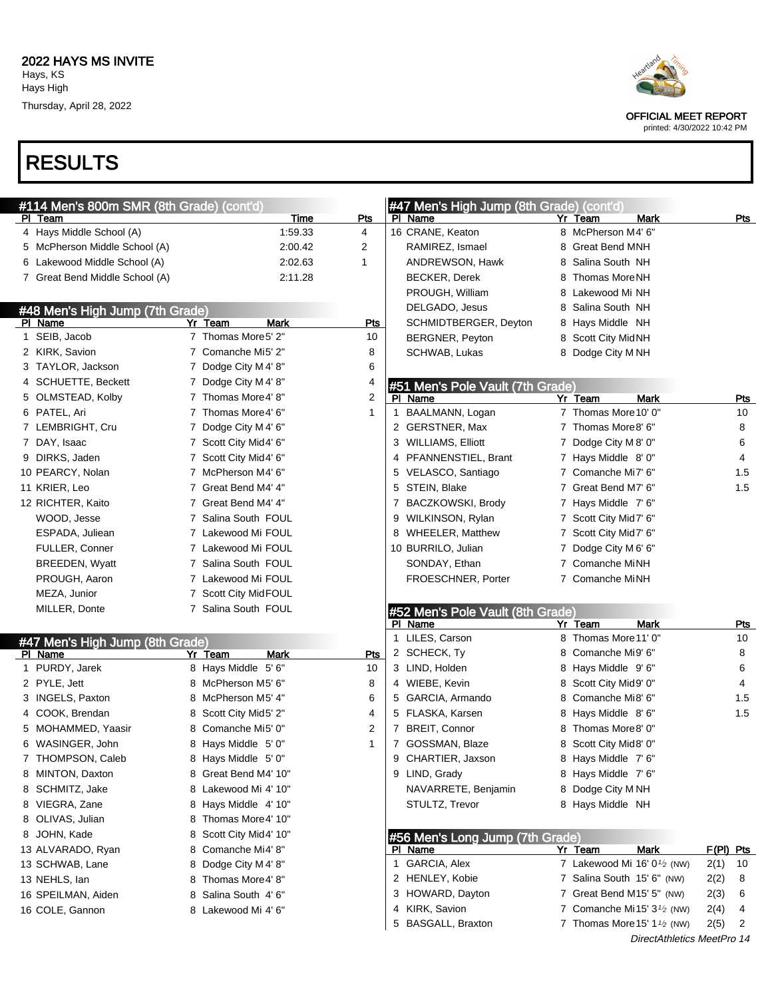Thursday, April 28, 2022



#### OFFICIAL MEET REPORT

printed: 4/30/2022 10:42 PM

| #114 Men's 800m SMR (8th Grade) (cont'd) |                        |                | #47 Men's High Jump (8th Grade) (cont'd) |                                        |            |
|------------------------------------------|------------------------|----------------|------------------------------------------|----------------------------------------|------------|
| PI Team                                  | Time                   | <u>Pts</u>     | PI Name                                  | Yr Team<br>Mark                        | <u>Pts</u> |
| 4 Hays Middle School (A)                 | 1:59.33                | 4              | 16 CRANE, Keaton                         | 8 McPherson M4' 6"                     |            |
| 5 McPherson Middle School (A)            | 2:00.42                | 2              | RAMIREZ, Ismael                          | 8 Great Bend MNH                       |            |
| 6 Lakewood Middle School (A)             | 2:02.63                | 1              | ANDREWSON, Hawk                          | 8 Salina South NH                      |            |
| 7 Great Bend Middle School (A)           | 2:11.28                |                | <b>BECKER, Derek</b>                     | 8 Thomas MoreNH                        |            |
|                                          |                        |                | PROUGH, William                          | 8 Lakewood Mi NH                       |            |
| #48 Men's High Jump (7th Grade)          |                        |                | DELGADO, Jesus                           | 8 Salina South NH                      |            |
| PI Name                                  | Yr Team<br><b>Mark</b> | <b>Pts</b>     | SCHMIDTBERGER, Deyton                    | 8 Hays Middle NH                       |            |
| 1 SEIB, Jacob                            | 7 Thomas More5' 2"     | 10             | BERGNER, Peyton                          | 8 Scott City MidNH                     |            |
| 2 KIRK, Savion                           | 7 Comanche Mi5' 2"     | 8              | SCHWAB, Lukas                            | 8 Dodge City M NH                      |            |
| 3 TAYLOR, Jackson                        | 7 Dodge City M 4' 8"   | 6              |                                          |                                        |            |
| 4 SCHUETTE, Beckett                      | 7 Dodge City M 4' 8"   | 4              | #51 Men's Pole Vault (7th Grade)         |                                        |            |
| 5 OLMSTEAD, Kolby                        | 7 Thomas More4' 8"     | $\overline{2}$ | PI Name                                  | Yr Team<br><b>Mark</b>                 | <b>Pts</b> |
| 6 PATEL, Ari                             | 7 Thomas More4' 6"     | $\mathbf{1}$   | BAALMANN, Logan<br>$\mathbf{1}$          | 7 Thomas More 10' 0"                   | 10         |
| 7 LEMBRIGHT, Cru                         | 7 Dodge City M 4' 6"   |                | 2 GERSTNER, Max                          | 7 Thomas More8' 6"                     | 8          |
| 7 DAY, Isaac                             | 7 Scott City Mid4' 6"  |                | 3 WILLIAMS, Elliott                      | 7 Dodge City M 8' 0"                   | 6          |
| 9 DIRKS, Jaden                           | 7 Scott City Mid4' 6"  |                | 4 PFANNENSTIEL, Brant                    | 7 Hays Middle 8'0"                     | 4          |
| 10 PEARCY, Nolan                         | 7 McPherson M4' 6"     |                | 5 VELASCO, Santiago                      | 7 Comanche Mi7' 6"                     | 1.5        |
| 11 KRIER, Leo                            | 7 Great Bend M4' 4"    |                | STEIN, Blake<br>5                        | 7 Great Bend M7' 6"                    | 1.5        |
| 12 RICHTER, Kaito                        | 7 Great Bend M4' 4"    |                | 7 BACZKOWSKI, Brody                      | 7 Hays Middle 7'6"                     |            |
| WOOD, Jesse                              | 7 Salina South FOUL    |                | 9 WILKINSON, Rylan                       | 7 Scott City Mid7' 6"                  |            |
| ESPADA, Juliean                          | 7 Lakewood Mi FOUL     |                | 8 WHEELER, Matthew                       | 7 Scott City Mid7' 6"                  |            |
| <b>FULLER, Conner</b>                    | 7 Lakewood Mi FOUL     |                | 10 BURRILO, Julian                       | 7 Dodge City M 6' 6"                   |            |
| <b>BREEDEN, Wyatt</b>                    | 7 Salina South FOUL    |                | SONDAY, Ethan                            | 7 Comanche MiNH                        |            |
| PROUGH, Aaron                            | 7 Lakewood Mi FOUL     |                | FROESCHNER, Porter                       | 7 Comanche MiNH                        |            |
| MEZA, Junior                             | 7 Scott City MidFOUL   |                |                                          |                                        |            |
| MILLER, Donte                            | 7 Salina South FOUL    |                | #52 Men's Pole Vault (8th Grade)         |                                        |            |
|                                          |                        |                | PI Name                                  | Yr Team<br>Mark                        | Pts        |
| #47 Men's High Jump (8th Grade)          |                        |                | 1 LILES, Carson                          | 8 Thomas More 11' 0"                   | 10         |
| PI Name                                  | Yr Team<br>Mark        | Pts            | 2 SCHECK, Ty                             | 8 Comanche Mi9' 6"                     | 8          |
| 1 PURDY, Jarek                           | 8 Hays Middle 5' 6"    | 10             | 3 LIND, Holden                           | 8 Hays Middle 9'6"                     | 6          |
| 2 PYLE, Jett                             | 8 McPherson M5' 6"     | 8              | 4 WIEBE, Kevin                           | 8 Scott City Mid9' 0"                  | 4          |
| 3 INGELS, Paxton                         | 8 McPherson M5' 4"     | 6              | 5 GARCIA, Armando                        | 8 Comanche Mi8' 6"                     | 1.5        |
| 4 COOK, Brendan                          | 8 Scott City Mid5' 2"  | 4              | 5 FLASKA, Karsen                         | 8 Hays Middle 8'6"                     | 1.5        |
| 5 MOHAMMED, Yaasir                       | 8 Comanche Mi5' 0"     | 2              | 7 BREIT, Connor                          | 8 Thomas More8' 0"                     |            |
| 6 WASINGER, John                         | 8 Hays Middle 5' 0"    | $\mathbf 1$    | 7 GOSSMAN, Blaze                         | 8 Scott City Mid8' 0"                  |            |
| 7 THOMPSON, Caleb                        | 8 Hays Middle 5' 0"    |                | 9 CHARTIER, Jaxson                       | 8 Hays Middle 7' 6"                    |            |
| 8 MINTON, Daxton                         | 8 Great Bend M4' 10"   |                | 9 LIND, Grady                            | 8 Hays Middle 7'6"                     |            |
| 8 SCHMITZ, Jake                          | 8 Lakewood Mi 4' 10"   |                | NAVARRETE, Benjamin                      | 8 Dodge City M NH                      |            |
| 8 VIEGRA, Zane                           | 8 Hays Middle 4' 10"   |                | STULTZ, Trevor                           | 8 Hays Middle NH                       |            |
| 8 OLIVAS, Julian                         | 8 Thomas More4' 10"    |                |                                          |                                        |            |
| 8 JOHN, Kade                             | 8 Scott City Mid4' 10" |                | #56 Men's Long Jump (7th Grade)          |                                        |            |
| 13 ALVARADO, Ryan                        | 8 Comanche Mi4' 8"     |                | PI Name                                  | <b>Mark</b><br>Yr Team                 | F(PI) Pts  |
| 13 SCHWAB, Lane                          | 8 Dodge City M 4' 8"   |                | 1 GARCIA, Alex                           | 7 Lakewood Mi 16' $0\frac{1}{2}$ (NW)  | 2(1)<br>10 |
| 13 NEHLS, lan                            | 8 Thomas More4' 8"     |                | 2 HENLEY, Kobie                          | 7 Salina South 15' 6" (NW)             | 2(2)<br>8  |
| 16 SPEILMAN, Aiden                       | 8 Salina South 4' 6"   |                | 3 HOWARD, Dayton                         | 7 Great Bend M15' 5" (NW)              | 2(3)<br>6  |
| 16 COLE, Gannon                          | 8 Lakewood Mi 4'6"     |                | KIRK, Savion<br>4                        | 7 Comanche Mi15' $3\frac{1}{2}$ (NW)   | 2(4)<br>4  |
|                                          |                        |                | <b>BASGALL, Braxton</b><br>5             | 7 Thomas More 15' 1 $\frac{1}{2}$ (NW) | 2(5)<br>2  |
|                                          |                        |                |                                          | DirectAthletics MeetPro 14             |            |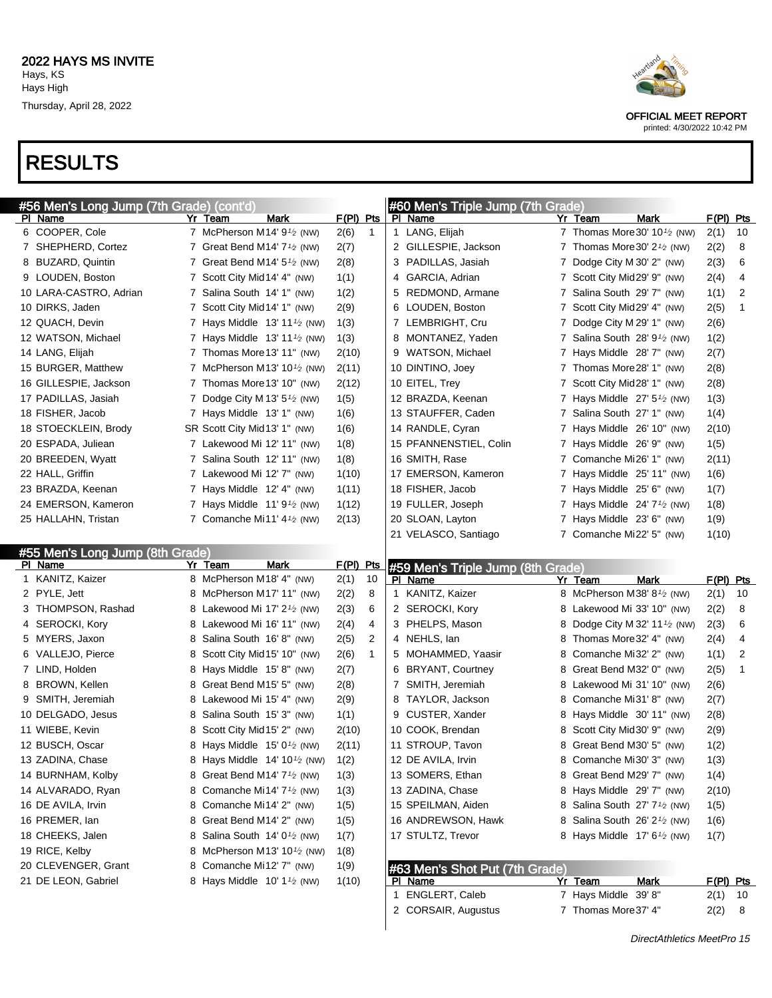

#### printed: 4/30/2022 10:42 PM

#### RESULTS

| #56 Men's Long Jump (7th Grade) (cont'd)   |                                                                                              |               |                | #60 Men's Triple Jump (7th Grade)                |   |                                                        |             |               |    |
|--------------------------------------------|----------------------------------------------------------------------------------------------|---------------|----------------|--------------------------------------------------|---|--------------------------------------------------------|-------------|---------------|----|
| <u>PI Name</u>                             | Mark<br>Yr Team                                                                              | F(PI) Pts     |                | PI Name                                          |   | Yr Team                                                | Mark        | $F(PI)$ Pts   |    |
| 6 COOPER, Cole                             | 7 McPherson M14' $9\frac{1}{2}$ (NW)                                                         | 2(6)          | $\mathbf{1}$   | 1 LANG, Elijah                                   |   | 7 Thomas More 30' $10\frac{1}{2}$ (NW)                 |             | 2(1)          | 10 |
| 7 SHEPHERD, Cortez                         | 7 Great Bend M14' $7\frac{1}{2}$ (NW)                                                        | 2(7)          |                | 2 GILLESPIE, Jackson                             |   | 7 Thomas More 30' $2\frac{1}{2}$ (NW)                  |             | 2(2)          | 8  |
| 8 BUZARD, Quintin                          | 7 Great Bend M14' $5\frac{1}{2}$ (NW)                                                        | 2(8)          |                | 3 PADILLAS, Jasiah                               |   | 7 Dodge City M 30' 2" (NW)                             |             | 2(3)          | 6  |
| 9 LOUDEN, Boston                           | 7 Scott City Mid 14' 4" (NW)                                                                 | 1(1)          |                | 4 GARCIA, Adrian                                 |   | 7 Scott City Mid29' 9" (NW)                            |             | 2(4)          | 4  |
| 10 LARA-CASTRO, Adrian                     | 7 Salina South 14' 1" (NW)                                                                   | 1(2)          |                | 5 REDMOND, Armane                                |   | 7 Salina South 29' 7" (NW)                             |             | 1(1)          | 2  |
| 10 DIRKS, Jaden                            | 7 Scott City Mid 14' 1" (NW)                                                                 | 2(9)          |                | 6 LOUDEN, Boston                                 |   | 7 Scott City Mid29' 4" (NW)                            |             | 2(5)          | 1  |
| 12 QUACH, Devin                            | 7 Hays Middle $13' 11'$ (NW)                                                                 | 1(3)          |                | 7 LEMBRIGHT, Cru                                 |   | 7 Dodge City M 29' 1" (NW)                             |             | 2(6)          |    |
| 12 WATSON, Michael                         | 7 Hays Middle $13' 11'$ (NW)                                                                 | 1(3)          |                | 8 MONTANEZ, Yaden                                |   | 7 Salina South 28' 9 <sup>1</sup> /2 (NW)              |             | 1(2)          |    |
| 14 LANG, Elijah                            | 7 Thomas More 13' 11" (NW)                                                                   | 2(10)         |                | 9 WATSON, Michael                                |   | 7 Hays Middle 28' 7" (NW)                              |             | 2(7)          |    |
| 15 BURGER, Matthew                         | 7 McPherson M13' 10 <sup>1</sup> / <sub>2</sub> (NW)                                         | 2(11)         |                | 10 DINTINO, Joey                                 |   | 7 Thomas More 28' 1" (NW)                              |             | 2(8)          |    |
| 16 GILLESPIE, Jackson                      | 7 Thomas More 13' 10" (NW)                                                                   | 2(12)         |                | 10 EITEL, Trey                                   |   | 7 Scott City Mid28' 1" (NW)                            |             | 2(8)          |    |
| 17 PADILLAS, Jasiah                        | 7 Dodge City M 13' $5\frac{1}{2}$ (NW)                                                       | 1(5)          |                | 12 BRAZDA, Keenan                                |   | 7 Hays Middle $27'5'$ (NW)                             |             | 1(3)          |    |
| 18 FISHER, Jacob                           | 7 Hays Middle 13' 1" (NW)                                                                    | 1(6)          |                | 13 STAUFFER, Caden                               |   | 7 Salina South 27' 1" (NW)                             |             | 1(4)          |    |
| 18 STOECKLEIN, Brody                       | SR Scott City Mid13' 1" (NW)                                                                 | 1(6)          |                | 14 RANDLE, Cyran                                 |   | 7 Hays Middle 26' 10" (NW)                             |             | 2(10)         |    |
| 20 ESPADA, Juliean                         | 7 Lakewood Mi 12' 11" (NW)                                                                   | 1(8)          |                | 15 PFANNENSTIEL, Colin                           |   | 7 Hays Middle 26' 9" (NW)                              |             | 1(5)          |    |
| 20 BREEDEN, Wyatt                          | 7 Salina South 12' 11" (NW)                                                                  | 1(8)          |                | 16 SMITH, Rase                                   |   | 7 Comanche Mi26' 1" (NW)                               |             | 2(11)         |    |
| 22 HALL, Griffin                           | 7 Lakewood Mi 12' 7" (NW)                                                                    | 1(10)         |                | 17 EMERSON, Kameron                              |   | 7 Hays Middle 25' 11" (NW)                             |             | 1(6)          |    |
| 23 BRAZDA, Keenan                          | 7 Hays Middle 12' 4" (NW)                                                                    | 1(11)         |                | 18 FISHER, Jacob                                 |   | 7 Hays Middle 25' 6" (NW)                              |             | 1(7)          |    |
| 24 EMERSON, Kameron                        | 7 Hays Middle $11'9'$ (NW)                                                                   | 1(12)         |                | 19 FULLER, Joseph                                |   | 7 Hays Middle $24'7'$ (NW)                             |             | 1(8)          |    |
| 25 HALLAHN, Tristan                        | 7 Comanche Mi11' $4\frac{1}{2}$ (NW)                                                         | 2(13)         |                | 20 SLOAN, Layton                                 |   | 7 Hays Middle 23' 6" (NW)                              |             | 1(9)          |    |
|                                            |                                                                                              |               |                | 21 VELASCO, Santiago                             |   | 7 Comanche Mi22' 5" (NW)                               |             | 1(10)         |    |
|                                            |                                                                                              |               |                |                                                  |   |                                                        |             |               |    |
|                                            |                                                                                              |               |                |                                                  |   |                                                        |             |               |    |
| #55 Men's Long Jump (8th Grade)<br>PI Name | Yr Team<br>Mark                                                                              | F(PI) Pts     |                |                                                  |   |                                                        |             |               |    |
| 1 KANITZ, Kaizer                           | 8 McPherson M18' 4" (NW)                                                                     | 2(1)          | 10             | #59 Men's Triple Jump (8th Grade)<br>PI Name     |   | Yr Team                                                | <b>Mark</b> | $F(PI)$ Pts   |    |
| 2 PYLE, Jett                               | 8 McPherson M17' 11" (NW)                                                                    | 2(2)          | 8              | 1 KANITZ, Kaizer                                 |   | 8 McPherson M38' 8 <sup>1</sup> / <sub>2</sub> (NW)    |             | 2(1)          | 10 |
| 3 THOMPSON, Rashad                         | 8 Lakewood Mi 17' 2 <sup>1</sup> / <sub>2</sub> (NW)                                         | 2(3)          | 6              | 2 SEROCKI, Kory                                  |   | 8 Lakewood Mi 33' 10" (NW)                             |             | 2(2)          | 8  |
| 4 SEROCKI, Kory                            | 8 Lakewood Mi 16' 11" (NW)                                                                   | 2(4)          | 4              | 3 PHELPS, Mason                                  | 8 | Dodge City M 32' 11 $\frac{1}{2}$ (NW)                 |             | 2(3)          | 6  |
| 5 MYERS, Jaxon                             | 8 Salina South 16'8" (NW)                                                                    | 2(5)          | $\overline{2}$ | 4 NEHLS, lan                                     | 8 | Thomas More 32' 4" (NW)                                |             | 2(4)          | 4  |
| 6 VALLEJO, Pierce                          | 8 Scott City Mid 15' 10" (NW)                                                                | 2(6)          | $\mathbf{1}$   | 5 MOHAMMED, Yaasir                               | 8 | Comanche Mi32' 2" (NW)                                 |             | 1(1)          | 2  |
| 7 LIND, Holden                             | 8 Hays Middle 15'8" (NW)                                                                     | 2(7)          |                | 6 BRYANT, Courtney                               | 8 | Great Bend M32' 0" (NW)                                |             | 2(5)          | 1  |
| 8 BROWN, Kellen                            | 8 Great Bend M15' 5" (NW)                                                                    | 2(8)          |                | 7 SMITH, Jeremiah                                |   | 8 Lakewood Mi 31' 10" (NW)                             |             | 2(6)          |    |
| 9 SMITH, Jeremiah                          | 8 Lakewood Mi 15' 4" (NW)                                                                    | 2(9)          |                | 8 TAYLOR, Jackson                                | 8 | Comanche Mi31' 8" (NW)                                 |             | 2(7)          |    |
| 10 DELGADO, Jesus                          | 8 Salina South 15' 3" (NW)                                                                   | 1(1)          |                | 9 CUSTER, Xander                                 | 8 | Hays Middle 30' 11" (NW)                               |             | 2(8)          |    |
| 11 WIEBE, Kevin                            | 8 Scott City Mid 15' 2" (NW)                                                                 | 2(10)         |                | 10 COOK, Brendan                                 |   | 8 Scott City Mid 30' 9" (NW)                           |             |               |    |
| 12 BUSCH, Oscar                            | 8 Hays Middle $15'0\frac{1}{2}$ (NW)                                                         | 2(11)         |                | 11 STROUP, Tavon                                 |   | 8 Great Bend M30' 5" (NW)                              |             | 2(9)          |    |
|                                            | 8 Hays Middle 14' 10 <sup>1</sup> / <sub>2</sub> (NW)                                        |               |                | 12 DE AVILA, Irvin                               |   | 8 Comanche Mi30' 3" (NW)                               |             | 1(2)          |    |
| 13 ZADINA, Chase                           |                                                                                              | 1(2)          |                |                                                  |   |                                                        |             | 1(3)          |    |
| 14 BURNHAM, Kolby<br>14 ALVARADO, Ryan     | 8 Great Bend M14' $7\frac{1}{2}$ (NW)<br>8 Comanche Mi14' 7 <sup>1</sup> / <sub>2</sub> (NW) | 1(3)          |                | 13 SOMERS, Ethan<br>13 ZADINA, Chase             |   | 8 Great Bend M29' 7" (NW)<br>8 Hays Middle 29' 7" (NW) |             | 1(4)<br>2(10) |    |
| 16 DE AVILA, Irvin                         | 8 Comanche Mi14' 2" (NW)                                                                     | 1(3)          |                | 15 SPEILMAN, Aiden                               |   | 8 Salina South 27' 7 <sup>1</sup> / <sub>2</sub> (NW)  |             |               |    |
| 16 PREMER, lan                             | 8 Great Bend M14' 2" (NW)                                                                    | 1(5)          |                | 16 ANDREWSON, Hawk                               |   | 8 Salina South 26' 2 <sup>1</sup> / <sub>2</sub> (NW)  |             | 1(5)          |    |
|                                            |                                                                                              | 1(5)          |                | 17 STULTZ, Trevor                                |   |                                                        |             | 1(6)          |    |
| 18 CHEEKS, Jalen                           | 8 Salina South $14'0\frac{1}{2}$ (NW)                                                        | 1(7)          |                |                                                  |   | 8 Hays Middle $17' 6'$ (NW)                            |             | 1(7)          |    |
| 19 RICE, Kelby                             | 8 McPherson M13' 10 <sup>1</sup> / <sub>2</sub> (NW)                                         | 1(8)          |                |                                                  |   |                                                        |             |               |    |
| 20 CLEVENGER, Grant<br>21 DE LEON, Gabriel | 8 Comanche Mi12' 7" (NW)<br>8 Hays Middle $10' 11$ (NW)                                      | 1(9)<br>1(10) |                | #63 Men's Shot Put (7th Grade)<br><b>PI</b> Name |   | Yr Team                                                | <b>Mark</b> | $F(PI)$ Pts   |    |

2 CORSAIR, Augustus 7 Thomas More 37' 4" 2(2) 8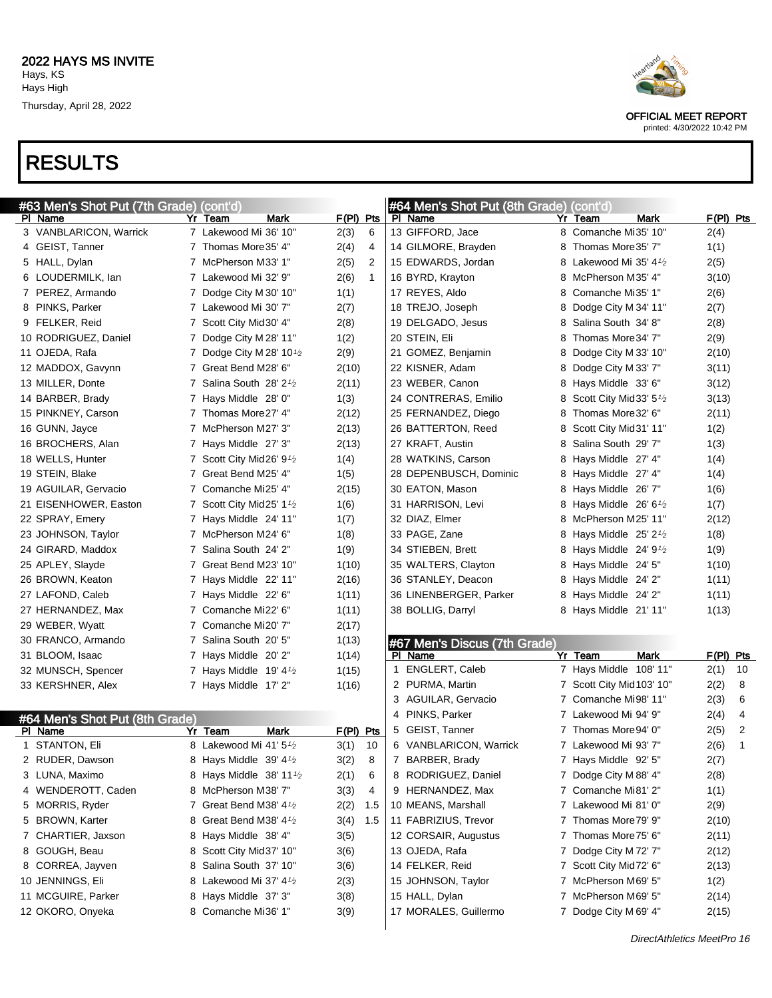

printed: 4/30/2022 10:42 PM

| #63 Men's Shot Put (7th Grade) (cont'd) |                                                 |             |              |   | #64 Men's Shot Put (8th Grade) (cont'd) |    |                                     |             |                |
|-----------------------------------------|-------------------------------------------------|-------------|--------------|---|-----------------------------------------|----|-------------------------------------|-------------|----------------|
| PI Name                                 | Yr Team<br>Mark                                 | $F(PI)$ Pts |              |   | PI Name                                 |    | Yr Team<br>Mark                     | $F(PI)$ Pts |                |
| 3 VANBLARICON, Warrick                  | 7 Lakewood Mi 36' 10"                           | 2(3)        | 6            |   | 13 GIFFORD, Jace                        |    | 8 Comanche Mi35' 10"                | 2(4)        |                |
| 4 GEIST, Tanner                         | 7 Thomas More 35' 4"                            | 2(4)        | 4            |   | 14 GILMORE, Brayden                     |    | 8 Thomas More 35' 7"                | 1(1)        |                |
| 5 HALL, Dylan                           | 7 McPherson M33' 1"                             | 2(5)        | 2            |   | 15 EDWARDS, Jordan                      |    | 8 Lakewood Mi 35' 4 $\frac{1}{2}$   | 2(5)        |                |
| 6 LOUDERMILK, lan                       | 7 Lakewood Mi 32' 9"                            | 2(6)        | $\mathbf{1}$ |   | 16 BYRD, Krayton                        |    | 8 McPherson M35' 4"                 | 3(10)       |                |
| 7 PEREZ, Armando                        | 7 Dodge City M 30' 10"                          | 1(1)        |              |   | 17 REYES, Aldo                          | 8. | Comanche Mi35' 1"                   | 2(6)        |                |
| 8 PINKS, Parker                         | 7 Lakewood Mi 30' 7"                            | 2(7)        |              |   | 18 TREJO, Joseph                        | 8  | Dodge City M 34' 11"                | 2(7)        |                |
| 9 FELKER, Reid                          | 7 Scott City Mid30' 4"                          | 2(8)        |              |   | 19 DELGADO, Jesus                       | 8. | Salina South 34' 8"                 | 2(8)        |                |
| 10 RODRIGUEZ, Daniel                    | 7 Dodge City M 28' 11"                          | 1(2)        |              |   | 20 STEIN, Eli                           | 8  | Thomas More 34' 7"                  | 2(9)        |                |
| 11 OJEDA, Rafa                          | 7 Dodge City M 28' 10 $\frac{1}{2}$             | 2(9)        |              |   | 21 GOMEZ, Benjamin                      | 8  | Dodge City M 33' 10"                | 2(10)       |                |
| 12 MADDOX, Gavynn                       | 7 Great Bend M28' 6"                            | 2(10)       |              |   | 22 KISNER, Adam                         | 8  | Dodge City M 33' 7"                 | 3(11)       |                |
| 13 MILLER, Donte                        | 7 Salina South $28'2'$                          | 2(11)       |              |   | 23 WEBER, Canon                         |    | 8 Hays Middle 33' 6"                | 3(12)       |                |
| 14 BARBER, Brady                        | 7 Hays Middle 28' 0"                            | 1(3)        |              |   | 24 CONTRERAS, Emilio                    | 8  | Scott City Mid 33' $5\frac{1}{2}$   | 3(13)       |                |
| 15 PINKNEY, Carson                      | 7 Thomas More 27' 4"                            | 2(12)       |              |   | 25 FERNANDEZ, Diego                     | 8  | Thomas More 32' 6"                  | 2(11)       |                |
| 16 GUNN, Jayce                          | 7 McPherson M27' 3"                             | 2(13)       |              |   | 26 BATTERTON, Reed                      | 8  | Scott City Mid31' 11"               | 1(2)        |                |
| 16 BROCHERS, Alan                       | 7 Hays Middle 27' 3"                            | 2(13)       |              |   | 27 KRAFT, Austin                        | 8. | Salina South 29' 7"                 | 1(3)        |                |
| 18 WELLS, Hunter                        | 7 Scott City Mid26' 9 <sup>1</sup> /2           | 1(4)        |              |   | 28 WATKINS, Carson                      |    | 8 Hays Middle 27' 4"                | 1(4)        |                |
| 19 STEIN, Blake                         | 7 Great Bend M25' 4"                            | 1(5)        |              |   | 28 DEPENBUSCH, Dominic                  |    | 8 Hays Middle 27' 4"                | 1(4)        |                |
| 19 AGUILAR, Gervacio                    | 7 Comanche Mi25' 4"                             | 2(15)       |              |   | 30 EATON, Mason                         |    | 8 Hays Middle 26' 7"                | 1(6)        |                |
| 21 EISENHOWER, Easton                   | 7 Scott City Mid25' 1 <sup>1</sup> /2           | 1(6)        |              |   | 31 HARRISON, Levi                       |    | 8 Hays Middle $26'6\frac{1}{2}$     | 1(7)        |                |
| 22 SPRAY, Emery                         | 7 Hays Middle 24' 11"                           | 1(7)        |              |   | 32 DIAZ, Elmer                          |    | 8 McPherson M25' 11"                | 2(12)       |                |
| 23 JOHNSON, Taylor                      | 7 McPherson M24' 6"                             | 1(8)        |              |   | 33 PAGE, Zane                           |    | 8 Hays Middle $25'2'$               | 1(8)        |                |
| 24 GIRARD, Maddox                       | 7 Salina South 24' 2"                           | 1(9)        |              |   | 34 STIEBEN, Brett                       |    | 8 Hays Middle 24' 9 <sup>1</sup> /2 | 1(9)        |                |
| 25 APLEY, Slayde                        | 7 Great Bend M23' 10"                           | 1(10)       |              |   | 35 WALTERS, Clayton                     |    | 8 Hays Middle 24' 5"                | 1(10)       |                |
| 26 BROWN, Keaton                        | 7 Hays Middle 22' 11"                           | 2(16)       |              |   | 36 STANLEY, Deacon                      |    | 8 Hays Middle 24' 2"                | 1(11)       |                |
| 27 LAFOND, Caleb                        | 7 Hays Middle 22' 6"                            | 1(11)       |              |   | 36 LINENBERGER, Parker                  |    | 8 Hays Middle 24' 2"                | 1(11)       |                |
| 27 HERNANDEZ, Max                       | 7 Comanche Mi22' 6"                             | 1(11)       |              |   | 38 BOLLIG, Darryl                       |    | 8 Hays Middle 21' 11"               | 1(13)       |                |
| 29 WEBER, Wyatt                         | 7 Comanche Mi20' 7"                             | 2(17)       |              |   |                                         |    |                                     |             |                |
| 30 FRANCO, Armando                      | 7 Salina South 20' 5"                           | 1(13)       |              |   | #67 Men's Discus (7th Grade)            |    |                                     |             |                |
| 31 BLOOM, Isaac                         | 7 Hays Middle 20'2"                             | 1(14)       |              |   | PI Name                                 |    | <b>Mark</b><br>Yr Team              | F(PI) Pts   |                |
| 32 MUNSCH, Spencer                      | 7 Hays Middle $19'4\frac{1}{2}$                 | 1(15)       |              | 1 | ENGLERT, Caleb                          |    | 7 Hays Middle 108' 11"              | 2(1)        | 10             |
| 33 KERSHNER, Alex                       | 7 Hays Middle 17' 2"                            | 1(16)       |              |   | 2 PURMA, Martin                         |    | 7 Scott City Mid 103' 10"           | 2(2)        | 8              |
|                                         |                                                 |             |              |   | 3 AGUILAR, Gervacio                     |    | 7 Comanche Mi98' 11"                | 2(3)        | 6              |
| #64 Men's Shot Put (8th Grade)          |                                                 |             |              |   | 4 PINKS, Parker                         |    | 7 Lakewood Mi 94' 9"                | 2(4)        | 4              |
| PI Name                                 | Yr Team<br>Mark                                 | F(PI) Pts   |              |   | 5 GEIST, Tanner                         |    | 7 Thomas More 94' 0"                | 2(5)        | $\overline{2}$ |
| 1 STANTON, Eli                          | 8 Lakewood Mi 41' 5 <sup>1</sup> /2             | 3(1)        | 10           |   | 6 VANBLARICON, Warrick                  |    | 7 Lakewood Mi 93' 7"                | 2(6)        | $\mathbf{1}$   |
| 2 RUDER, Dawson                         | 8 Hays Middle 39' $4\frac{1}{2}$                | 3(2)        | 8            |   | 7 BARBER, Brady                         |    | 7 Hays Middle 92' 5"                | 2(7)        |                |
| 3 LUNA, Maximo                          | 8 Hays Middle 38' 11 <sup>1</sup> /2            | 2(1)        | 6            |   | 8 RODRIGUEZ, Daniel                     |    | 7 Dodge City M 88' 4"               | 2(8)        |                |
| 4 WENDEROTT, Caden                      | 8 McPherson M38' 7"                             | 3(3)        | 4            |   | 9 HERNANDEZ, Max                        |    | 7 Comanche Mi81' 2"                 | 1(1)        |                |
| 5 MORRIS, Ryder                         | 7 Great Bend M38' 4 <sup>1</sup> / <sub>2</sub> | 2(2)        | 1.5          |   | 10 MEANS, Marshall                      |    | 7 Lakewood Mi 81' 0"                | 2(9)        |                |
| 5 BROWN, Karter                         | 8 Great Bend M38' 4 <sup>1</sup> /2             | 3(4)        | 1.5          |   | 11 FABRIZIUS, Trevor                    |    | 7 Thomas More 79' 9"                | 2(10)       |                |
| 7 CHARTIER, Jaxson                      | 8 Hays Middle 38' 4"                            | 3(5)        |              |   | 12 CORSAIR, Augustus                    |    | 7 Thomas More 75' 6"                | 2(11)       |                |
| 8 GOUGH, Beau                           | 8 Scott City Mid37' 10"                         | 3(6)        |              |   | 13 OJEDA, Rafa                          |    | 7 Dodge City M 72' 7"               | 2(12)       |                |
| 8 CORREA, Jayven                        | 8 Salina South 37' 10"                          | 3(6)        |              |   | 14 FELKER, Reid                         |    | 7 Scott City Mid72' 6"              | 2(13)       |                |
| 10 JENNINGS, Eli                        | 8 Lakewood Mi 37' 41/2                          | 2(3)        |              |   | 15 JOHNSON, Taylor                      |    | 7 McPherson M69' 5"                 | 1(2)        |                |
| 11 MCGUIRE, Parker                      | 8 Hays Middle 37' 3"                            | 3(8)        |              |   | 15 HALL, Dylan                          |    | 7 McPherson M69' 5"                 | 2(14)       |                |
| 12 OKORO, Onyeka                        | 8 Comanche Mi36' 1"                             | 3(9)        |              |   | 17 MORALES, Guillermo                   |    | 7 Dodge City M 69' 4"               | 2(15)       |                |
|                                         |                                                 |             |              |   |                                         |    |                                     |             |                |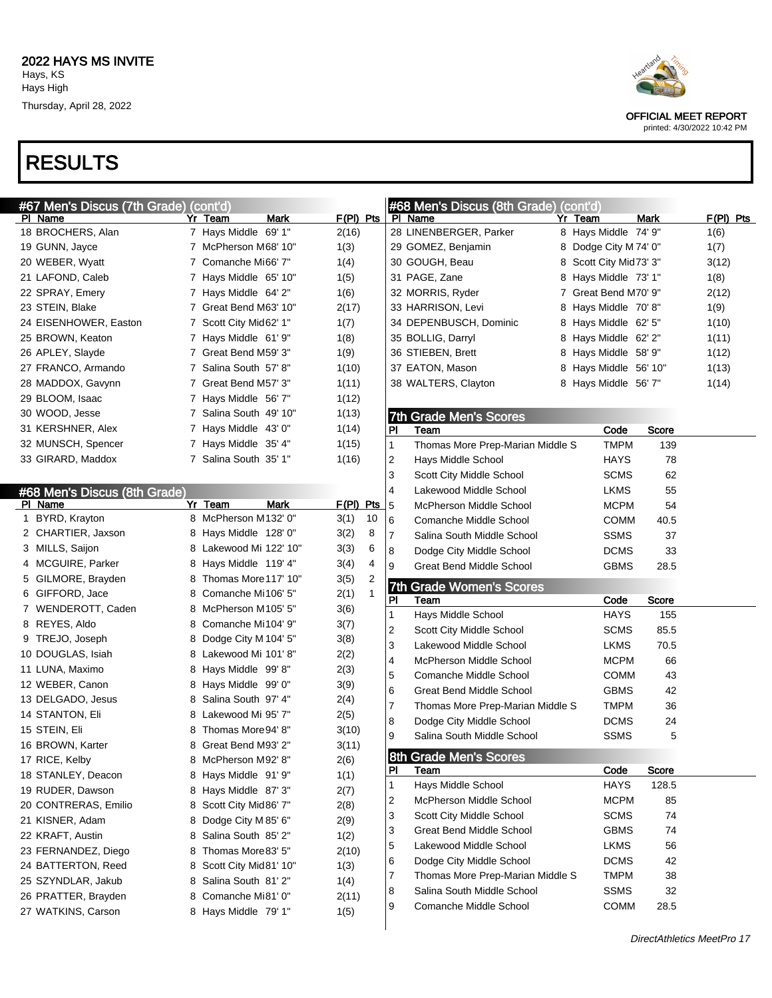